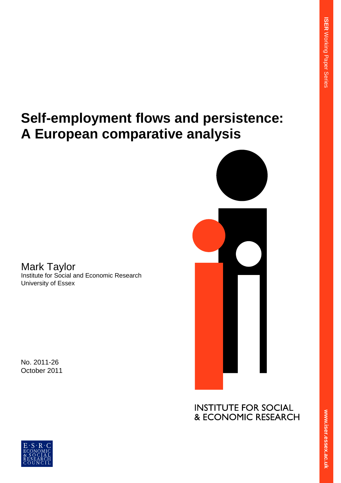# **Self-employment flows and persistence: A European comparative analysis**

Mark Taylor Institute for Social and Economic Research University of Essex

No. 2011-26 October 2011

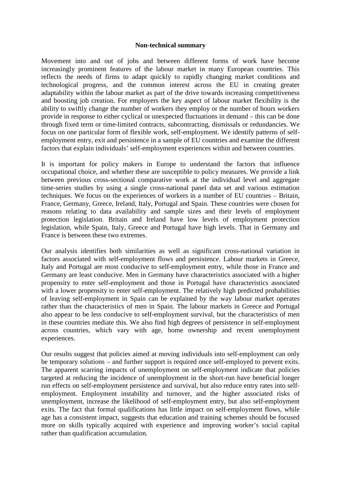#### **Non-technical summary**

Movement into and out of jobs and between different forms of work have become increasingly prominent features of the labour market in many European countries. This reflects the needs of firms to adapt quickly to rapidly changing market conditions and technological progress, and the common interest across the EU in creating greater adaptability within the labour market as part of the drive towards increasing competitiveness and boosting job creation. For employers the key aspect of labour market flexibility is the ability to swiftly change the number of workers they employ or the number of hours workers provide in response to either cyclical or unexpected fluctuations in demand – this can be done through fixed term or time-limited contracts, subcontracting, dismissals or redundancies. We focus on one particular form of flexible work, self-employment. We identify patterns of selfemployment entry, exit and persistence in a sample of EU countries and examine the different factors that explain individuals' self-employment experiences within and between countries.

It is important for policy makers in Europe to understand the factors that influence occupational choice, and whether these are susceptible to policy measures. We provide a link between previous cross-sectional comparative work at the individual level and aggregate time-series studies by using a single cross-national panel data set and various estimation techniques. We focus on the experiences of workers in a number of EU countries – Britain, France, Germany, Greece, Ireland, Italy, Portugal and Spain. These countries were chosen for reasons relating to data availability and sample sizes and their levels of employment protection legislation. Britain and Ireland have low levels of employment protection legislation, while Spain, Italy, Greece and Portugal have high levels. That in Germany and France is between these two extremes.

Our analysis identifies both similarities as well as significant cross-national variation in factors associated with self-employment flows and persistence. Labour markets in Greece, Italy and Portugal are most conducive to self-employment entry, while those in France and Germany are least conducive. Men in Germany have characteristics associated with a higher propensity to enter self-employment and those in Portugal have characteristics associated with a lower propensity to enter self-employment. The relatively high predicted probabilities of leaving self-employment in Spain can be explained by the way labour market operates rather than the characteristics of men in Spain. The labour markets in Greece and Portugal also appear to be less conducive to self-employment survival, but the characteristics of men in these countries mediate this. We also find high degrees of persistence in self-employment across countries, which vary with age, home ownership and recent unemployment experiences.

Our results suggest that policies aimed at moving individuals into self-employment can only be temporary solutions – and further support is required once self-employed to prevent exits. The apparent scarring impacts of unemployment on self-employment indicate that policies targeted at reducing the incidence of unemployment in the short-run have beneficial longer run effects on self-employment persistence and survival, but also reduce entry rates into selfemployment. Employment instability and turnover, and the higher associated risks of unemployment, increase the likelihood of self-employment entry, but also self-employment exits. The fact that formal qualifications has little impact on self-employment flows, while age has a consistent impact, suggests that education and training schemes should be focused more on skills typically acquired with experience and improving worker's social capital rather than qualification accumulation.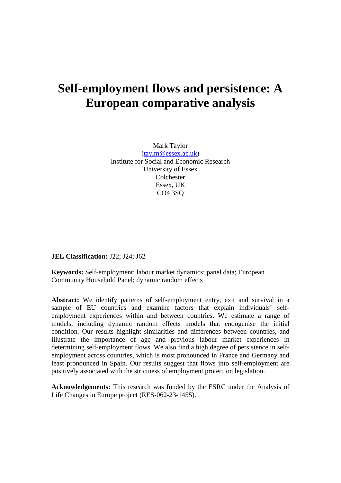## **Self-employment flows and persistence: A European comparative analysis**

Mark Taylor [\(taylm@essex.ac.uk\)](mailto:taylm@essex.ac.uk) Institute for Social and Economic Research University of Essex Colchester Essex, UK CO4 3SQ

**JEL Classification:** J22; J24; J62

**Keywords:** Self-employment; labour market dynamics; panel data; European Community Household Panel; dynamic random effects

**Abstract:** We identify patterns of self-employment entry, exit and survival in a sample of EU countries and examine factors that explain individuals' selfemployment experiences within and between countries. We estimate a range of models, including dynamic random effects models that endogenise the initial condition. Our results highlight similarities and differences between countries, and illustrate the importance of age and previous labour market experiences in determining self-employment flows. We also find a high degree of persistence in selfemployment across countries, which is most pronounced in France and Germany and least pronounced in Spain. Our results suggest that flows into self-employment are positively associated with the strictness of employment protection legislation.

**Acknowledgements:** This research was funded by the ESRC under the Analysis of Life Changes in Europe project (RES-062-23-1455).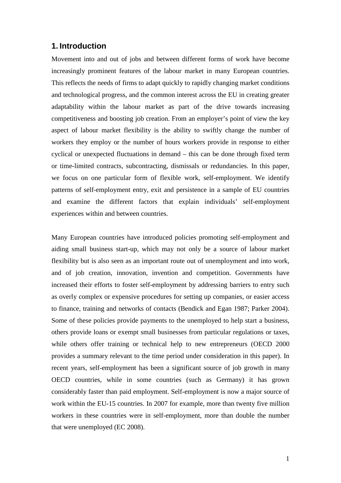## **1. Introduction**

Movement into and out of jobs and between different forms of work have become increasingly prominent features of the labour market in many European countries. This reflects the needs of firms to adapt quickly to rapidly changing market conditions and technological progress, and the common interest across the EU in creating greater adaptability within the labour market as part of the drive towards increasing competitiveness and boosting job creation. From an employer's point of view the key aspect of labour market flexibility is the ability to swiftly change the number of workers they employ or the number of hours workers provide in response to either cyclical or unexpected fluctuations in demand – this can be done through fixed term or time-limited contracts, subcontracting, dismissals or redundancies. In this paper, we focus on one particular form of flexible work, self-employment. We identify patterns of self-employment entry, exit and persistence in a sample of EU countries and examine the different factors that explain individuals' self-employment experiences within and between countries.

Many European countries have introduced policies promoting self-employment and aiding small business start-up, which may not only be a source of labour market flexibility but is also seen as an important route out of unemployment and into work, and of job creation, innovation, invention and competition. Governments have increased their efforts to foster self-employment by addressing barriers to entry such as overly complex or expensive procedures for setting up companies, or easier access to finance, training and networks of contacts (Bendick and Egan 1987; Parker 2004). Some of these policies provide payments to the unemployed to help start a business, others provide loans or exempt small businesses from particular regulations or taxes, while others offer training or technical help to new entrepreneurs (OECD 2000 provides a summary relevant to the time period under consideration in this paper). In recent years, self-employment has been a significant source of job growth in many OECD countries, while in some countries (such as Germany) it has grown considerably faster than paid employment. Self-employment is now a major source of work within the EU-15 countries. In 2007 for example, more than twenty five million workers in these countries were in self-employment, more than double the number that were unemployed (EC 2008).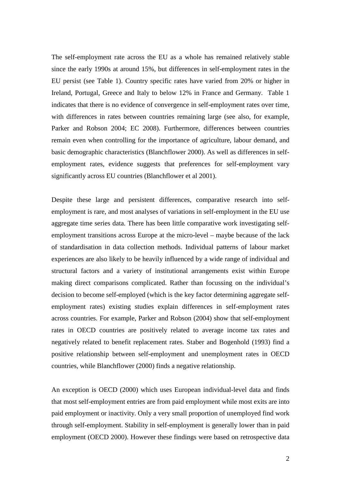The self-employment rate across the EU as a whole has remained relatively stable since the early 1990s at around 15%, but differences in self-employment rates in the EU persist (see Table 1). Country specific rates have varied from 20% or higher in Ireland, Portugal, Greece and Italy to below 12% in France and Germany. Table 1 indicates that there is no evidence of convergence in self-employment rates over time, with differences in rates between countries remaining large (see also, for example, Parker and Robson 2004; EC 2008). Furthermore, differences between countries remain even when controlling for the importance of agriculture, labour demand, and basic demographic characteristics (Blanchflower 2000). As well as differences in selfemployment rates, evidence suggests that preferences for self-employment vary significantly across EU countries (Blanchflower et al 2001).

Despite these large and persistent differences, comparative research into selfemployment is rare, and most analyses of variations in self-employment in the EU use aggregate time series data. There has been little comparative work investigating selfemployment transitions across Europe at the micro-level – maybe because of the lack of standardisation in data collection methods. Individual patterns of labour market experiences are also likely to be heavily influenced by a wide range of individual and structural factors and a variety of institutional arrangements exist within Europe making direct comparisons complicated. Rather than focussing on the individual's decision to become self-employed (which is the key factor determining aggregate selfemployment rates) existing studies explain differences in self-employment rates across countries. For example, Parker and Robson (2004) show that self-employment rates in OECD countries are positively related to average income tax rates and negatively related to benefit replacement rates. Staber and Bogenhold (1993) find a positive relationship between self-employment and unemployment rates in OECD countries, while Blanchflower (2000) finds a negative relationship.

An exception is OECD (2000) which uses European individual-level data and finds that most self-employment entries are from paid employment while most exits are into paid employment or inactivity. Only a very small proportion of unemployed find work through self-employment. Stability in self-employment is generally lower than in paid employment (OECD 2000). However these findings were based on retrospective data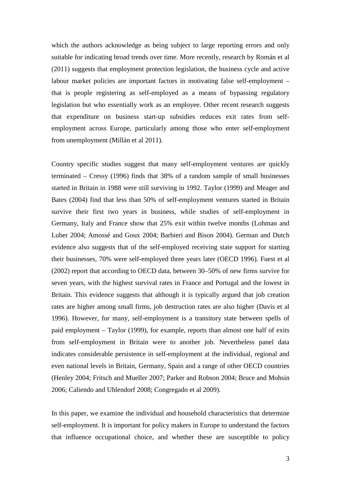which the authors acknowledge as being subject to large reporting errors and only suitable for indicating broad trends over time. More recently, research by Román et al (2011) suggests that employment protection legislation, the business cycle and active labour market policies are important factors in motivating false self-employment – that is people registering as self-employed as a means of bypassing regulatory legislation but who essentially work as an employee. Other recent research suggests that expenditure on business start-up subsidies reduces exit rates from selfemployment across Europe, particularly among those who enter self-employment from unemployment (Millán et al 2011).

Country specific studies suggest that many self-employment ventures are quickly terminated – Cressy (1996) finds that 38% of a random sample of small businesses started in Britain in 1988 were still surviving in 1992. Taylor (1999) and Meager and Bates (2004) find that less than 50% of self-employment ventures started in Britain survive their first two years in business, while studies of self-employment in Germany, Italy and France show that 25% exit within twelve months (Lohman and Luber 2004; Amossé and Goux 2004; Barbieri and Bison 2004). German and Dutch evidence also suggests that of the self-employed receiving state support for starting their businesses, 70% were self-employed three years later (OECD 1996). Fuest et al (2002) report that according to OECD data, between 30–50% of new firms survive for seven years, with the highest survival rates in France and Portugal and the lowest in Britain. This evidence suggests that although it is typically argued that job creation rates are higher among small firms, job destruction rates are also higher (Davis et al 1996). However, for many, self-employment is a transitory state between spells of paid employment – Taylor (1999), for example, reports than almost one half of exits from self-employment in Britain were to another job. Nevertheless panel data indicates considerable persistence in self-employment at the individual, regional and even national levels in Britain, Germany, Spain and a range of other OECD countries (Henley 2004; Fritsch and Mueller 2007; Parker and Robson 2004; Bruce and Mohsin 2006; Caliendo and Uhlendorf 2008; Congregado et al 2009).

In this paper, we examine the individual and household characteristics that determine self-employment. It is important for policy makers in Europe to understand the factors that influence occupational choice, and whether these are susceptible to policy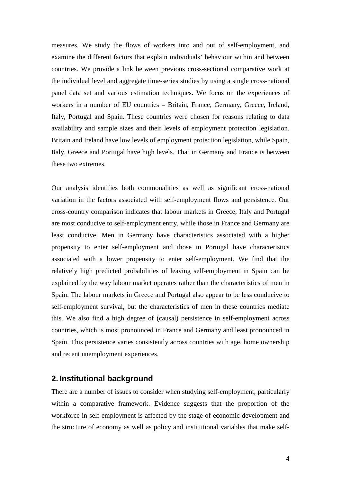measures. We study the flows of workers into and out of self-employment, and examine the different factors that explain individuals' behaviour within and between countries. We provide a link between previous cross-sectional comparative work at the individual level and aggregate time-series studies by using a single cross-national panel data set and various estimation techniques. We focus on the experiences of workers in a number of EU countries – Britain, France, Germany, Greece, Ireland, Italy, Portugal and Spain. These countries were chosen for reasons relating to data availability and sample sizes and their levels of employment protection legislation. Britain and Ireland have low levels of employment protection legislation, while Spain, Italy, Greece and Portugal have high levels. That in Germany and France is between these two extremes.

Our analysis identifies both commonalities as well as significant cross-national variation in the factors associated with self-employment flows and persistence. Our cross-country comparison indicates that labour markets in Greece, Italy and Portugal are most conducive to self-employment entry, while those in France and Germany are least conducive. Men in Germany have characteristics associated with a higher propensity to enter self-employment and those in Portugal have characteristics associated with a lower propensity to enter self-employment. We find that the relatively high predicted probabilities of leaving self-employment in Spain can be explained by the way labour market operates rather than the characteristics of men in Spain. The labour markets in Greece and Portugal also appear to be less conducive to self-employment survival, but the characteristics of men in these countries mediate this. We also find a high degree of (causal) persistence in self-employment across countries, which is most pronounced in France and Germany and least pronounced in Spain. This persistence varies consistently across countries with age, home ownership and recent unemployment experiences.

## **2. Institutional background**

There are a number of issues to consider when studying self-employment, particularly within a comparative framework. Evidence suggests that the proportion of the workforce in self-employment is affected by the stage of economic development and the structure of economy as well as policy and institutional variables that make self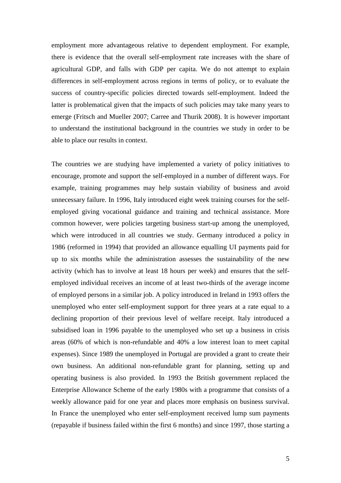employment more advantageous relative to dependent employment. For example, there is evidence that the overall self-employment rate increases with the share of agricultural GDP, and falls with GDP per capita. We do not attempt to explain differences in self-employment across regions in terms of policy, or to evaluate the success of country-specific policies directed towards self-employment. Indeed the latter is problematical given that the impacts of such policies may take many years to emerge (Fritsch and Mueller 2007; Carree and Thurik 2008). It is however important to understand the institutional background in the countries we study in order to be able to place our results in context.

The countries we are studying have implemented a variety of policy initiatives to encourage, promote and support the self-employed in a number of different ways. For example, training programmes may help sustain viability of business and avoid unnecessary failure. In 1996, Italy introduced eight week training courses for the selfemployed giving vocational guidance and training and technical assistance. More common however, were policies targeting business start-up among the unemployed, which were introduced in all countries we study. Germany introduced a policy in 1986 (reformed in 1994) that provided an allowance equalling UI payments paid for up to six months while the administration assesses the sustainability of the new activity (which has to involve at least 18 hours per week) and ensures that the selfemployed individual receives an income of at least two-thirds of the average income of employed persons in a similar job. A policy introduced in Ireland in 1993 offers the unemployed who enter self-employment support for three years at a rate equal to a declining proportion of their previous level of welfare receipt. Italy introduced a subsidised loan in 1996 payable to the unemployed who set up a business in crisis areas (60% of which is non-refundable and 40% a low interest loan to meet capital expenses). Since 1989 the unemployed in Portugal are provided a grant to create their own business. An additional non-refundable grant for planning, setting up and operating business is also provided. In 1993 the British government replaced the Enterprise Allowance Scheme of the early 1980s with a programme that consists of a weekly allowance paid for one year and places more emphasis on business survival. In France the unemployed who enter self-employment received lump sum payments (repayable if business failed within the first 6 months) and since 1997, those starting a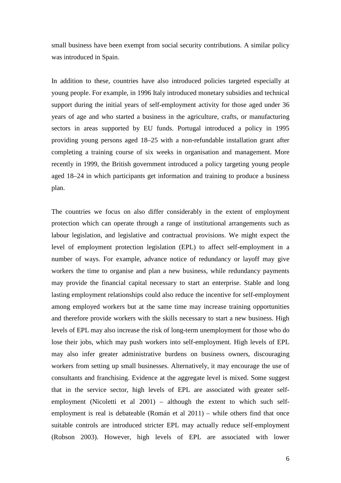small business have been exempt from social security contributions. A similar policy was introduced in Spain.

In addition to these, countries have also introduced policies targeted especially at young people. For example, in 1996 Italy introduced monetary subsidies and technical support during the initial years of self-employment activity for those aged under 36 years of age and who started a business in the agriculture, crafts, or manufacturing sectors in areas supported by EU funds. Portugal introduced a policy in 1995 providing young persons aged 18–25 with a non-refundable installation grant after completing a training course of six weeks in organisation and management. More recently in 1999, the British government introduced a policy targeting young people aged 18–24 in which participants get information and training to produce a business plan.

The countries we focus on also differ considerably in the extent of employment protection which can operate through a range of institutional arrangements such as labour legislation, and legislative and contractual provisions. We might expect the level of employment protection legislation (EPL) to affect self-employment in a number of ways. For example, advance notice of redundancy or layoff may give workers the time to organise and plan a new business, while redundancy payments may provide the financial capital necessary to start an enterprise. Stable and long lasting employment relationships could also reduce the incentive for self-employment among employed workers but at the same time may increase training opportunities and therefore provide workers with the skills necessary to start a new business. High levels of EPL may also increase the risk of long-term unemployment for those who do lose their jobs, which may push workers into self-employment. High levels of EPL may also infer greater administrative burdens on business owners, discouraging workers from setting up small businesses. Alternatively, it may encourage the use of consultants and franchising. Evidence at the aggregate level is mixed. Some suggest that in the service sector, high levels of EPL are associated with greater selfemployment (Nicoletti et al 2001) – although the extent to which such selfemployment is real is debateable (Román et al 2011) – while others find that once suitable controls are introduced stricter EPL may actually reduce self-employment (Robson 2003). However, high levels of EPL are associated with lower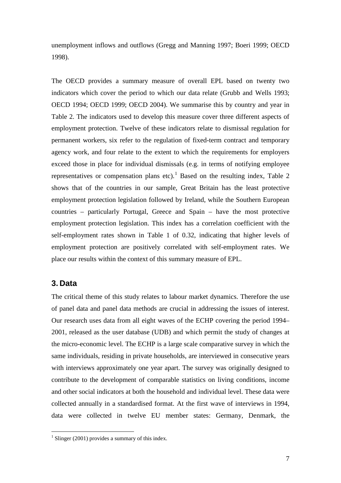unemployment inflows and outflows (Gregg and Manning 1997; Boeri 1999; OECD 1998).

The OECD provides a summary measure of overall EPL based on twenty two indicators which cover the period to which our data relate (Grubb and Wells 1993; OECD 1994; OECD 1999; OECD 2004). We summarise this by country and year in Table 2. The indicators used to develop this measure cover three different aspects of employment protection. Twelve of these indicators relate to dismissal regulation for permanent workers, six refer to the regulation of fixed-term contract and temporary agency work, and four relate to the extent to which the requirements for employers exceed those in place for individual dismissals (e.g. in terms of notifying employee representatives or compensation plans etc).<sup>[1](#page-9-0)</sup> Based on the resulting index, Table 2 shows that of the countries in our sample, Great Britain has the least protective employment protection legislation followed by Ireland, while the Southern European countries – particularly Portugal, Greece and Spain – have the most protective employment protection legislation. This index has a correlation coefficient with the self-employment rates shown in Table 1 of 0.32, indicating that higher levels of employment protection are positively correlated with self-employment rates. We place our results within the context of this summary measure of EPL.

## **3. Data**

The critical theme of this study relates to labour market dynamics. Therefore the use of panel data and panel data methods are crucial in addressing the issues of interest. Our research uses data from all eight waves of the ECHP covering the period 1994– 2001, released as the user database (UDB) and which permit the study of changes at the micro-economic level. The ECHP is a large scale comparative survey in which the same individuals, residing in private households, are interviewed in consecutive years with interviews approximately one year apart. The survey was originally designed to contribute to the development of comparable statistics on living conditions, income and other social indicators at both the household and individual level. These data were collected annually in a standardised format. At the first wave of interviews in 1994, data were collected in twelve EU member states: Germany, Denmark, the

<span id="page-9-0"></span><sup>&</sup>lt;sup>1</sup> Slinger (2001) provides a summary of this index.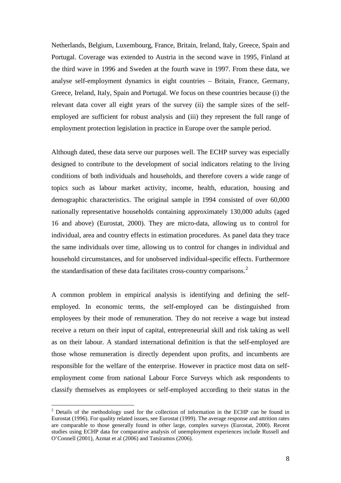Netherlands, Belgium, Luxembourg, France, Britain, Ireland, Italy, Greece, Spain and Portugal. Coverage was extended to Austria in the second wave in 1995, Finland at the third wave in 1996 and Sweden at the fourth wave in 1997. From these data, we analyse self-employment dynamics in eight countries – Britain, France, Germany, Greece, Ireland, Italy, Spain and Portugal. We focus on these countries because (i) the relevant data cover all eight years of the survey (ii) the sample sizes of the selfemployed are sufficient for robust analysis and (iii) they represent the full range of employment protection legislation in practice in Europe over the sample period.

Although dated, these data serve our purposes well. The ECHP survey was especially designed to contribute to the development of social indicators relating to the living conditions of both individuals and households, and therefore covers a wide range of topics such as labour market activity, income, health, education, housing and demographic characteristics. The original sample in 1994 consisted of over 60,000 nationally representative households containing approximately 130,000 adults (aged 16 and above) (Eurostat, 2000). They are micro-data, allowing us to control for individual, area and country effects in estimation procedures. As panel data they trace the same individuals over time, allowing us to control for changes in individual and household circumstances, and for unobserved individual-specific effects. Furthermore the standardisation of these data facilitates cross-country comparisons.<sup>[2](#page-10-0)</sup>

A common problem in empirical analysis is identifying and defining the selfemployed. In economic terms, the self-employed can be distinguished from employees by their mode of remuneration. They do not receive a wage but instead receive a return on their input of capital, entrepreneurial skill and risk taking as well as on their labour. A standard international definition is that the self-employed are those whose remuneration is directly dependent upon profits, and incumbents are responsible for the welfare of the enterprise. However in practice most data on selfemployment come from national Labour Force Surveys which ask respondents to classify themselves as employees or self-employed according to their status in the

<span id="page-10-0"></span> $2$  Details of the methodology used for the collection of information in the ECHP can be found in Eurostat (1996). For quality related issues, see Eurostat (1999). The average response and attrition rates are comparable to those generally found in other large, complex surveys (Eurostat, 2000). Recent studies using ECHP data for comparative analysis of unemployment experiences include Russell and O'Connell (2001), Azmat et al (2006) and Tatsiramos (2006).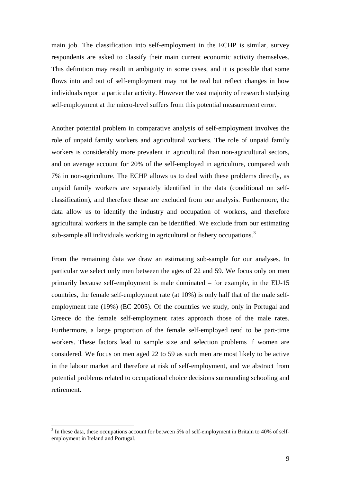main job. The classification into self-employment in the ECHP is similar, survey respondents are asked to classify their main current economic activity themselves. This definition may result in ambiguity in some cases, and it is possible that some flows into and out of self-employment may not be real but reflect changes in how individuals report a particular activity. However the vast majority of research studying self-employment at the micro-level suffers from this potential measurement error.

Another potential problem in comparative analysis of self-employment involves the role of unpaid family workers and agricultural workers. The role of unpaid family workers is considerably more prevalent in agricultural than non-agricultural sectors, and on average account for 20% of the self-employed in agriculture, compared with 7% in non-agriculture. The ECHP allows us to deal with these problems directly, as unpaid family workers are separately identified in the data (conditional on selfclassification), and therefore these are excluded from our analysis. Furthermore, the data allow us to identify the industry and occupation of workers, and therefore agricultural workers in the sample can be identified. We exclude from our estimating sub-sample all individuals working in agricultural or fishery occupations.<sup>[3](#page-11-0)</sup>

From the remaining data we draw an estimating sub-sample for our analyses. In particular we select only men between the ages of 22 and 59. We focus only on men primarily because self-employment is male dominated – for example, in the EU-15 countries, the female self-employment rate (at 10%) is only half that of the male selfemployment rate (19%) (EC 2005). Of the countries we study, only in Portugal and Greece do the female self-employment rates approach those of the male rates. Furthermore, a large proportion of the female self-employed tend to be part-time workers. These factors lead to sample size and selection problems if women are considered. We focus on men aged 22 to 59 as such men are most likely to be active in the labour market and therefore at risk of self-employment, and we abstract from potential problems related to occupational choice decisions surrounding schooling and retirement.

<span id="page-11-0"></span> <sup>3</sup> In these data, these occupations account for between 5% of self-employment in Britain to 40% of selfemployment in Ireland and Portugal.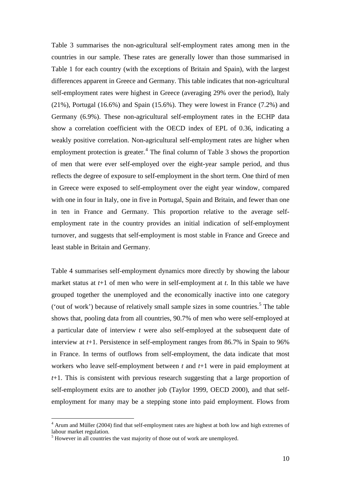Table 3 summarises the non-agricultural self-employment rates among men in the countries in our sample. These rates are generally lower than those summarised in Table 1 for each country (with the exceptions of Britain and Spain), with the largest differences apparent in Greece and Germany. This table indicates that non-agricultural self-employment rates were highest in Greece (averaging 29% over the period), Italy (21%), Portugal (16.6%) and Spain (15.6%). They were lowest in France (7.2%) and Germany (6.9%). These non-agricultural self-employment rates in the ECHP data show a correlation coefficient with the OECD index of EPL of 0.36, indicating a weakly positive correlation. Non-agricultural self-employment rates are higher when employment protection is greater. $4$  The final column of Table 3 shows the proportion of men that were ever self-employed over the eight-year sample period, and thus reflects the degree of exposure to self-employment in the short term. One third of men in Greece were exposed to self-employment over the eight year window, compared with one in four in Italy, one in five in Portugal, Spain and Britain, and fewer than one in ten in France and Germany. This proportion relative to the average selfemployment rate in the country provides an initial indication of self-employment turnover, and suggests that self-employment is most stable in France and Greece and least stable in Britain and Germany.

Table 4 summarises self-employment dynamics more directly by showing the labour market status at *t*+1 of men who were in self-employment at *t*. In this table we have grouped together the unemployed and the economically inactive into one category ('out of work') because of relatively small sample sizes in some countries. [5](#page-12-1) The table shows that, pooling data from all countries, 90.7% of men who were self-employed at a particular date of interview *t* were also self-employed at the subsequent date of interview at *t*+1. Persistence in self-employment ranges from 86.7% in Spain to 96% in France. In terms of outflows from self-employment, the data indicate that most workers who leave self-employment between *t* and *t*+1 were in paid employment at *t*+1. This is consistent with previous research suggesting that a large proportion of self-employment exits are to another job (Taylor 1999, OECD 2000), and that selfemployment for many may be a stepping stone into paid employment. Flows from

<span id="page-12-0"></span><sup>&</sup>lt;sup>4</sup> Arum and Müller (2004) find that self-employment rates are highest at both low and high extremes of labour market regulation.<br><sup>5</sup> However in all countries the vast majority of those out of work are unemployed.

<span id="page-12-1"></span>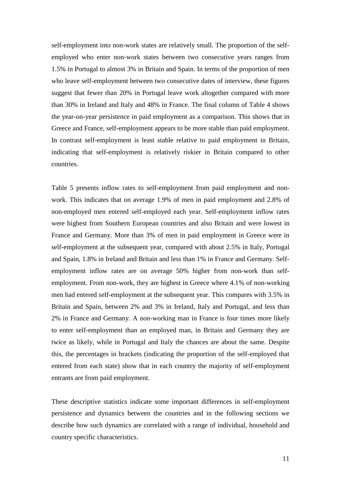self-employment into non-work states are relatively small. The proportion of the selfemployed who enter non-work states between two consecutive years ranges from 1.5% in Portugal to almost 3% in Britain and Spain. In terms of the proportion of men who leave self-employment between two consecutive dates of interview, these figures suggest that fewer than 20% in Portugal leave work altogether compared with more than 30% in Ireland and Italy and 48% in France. The final column of Table 4 shows the year-on-year persistence in paid employment as a comparison. This shows that in Greece and France, self-employment appears to be more stable than paid employment. In contrast self-employment is least stable relative to paid employment in Britain, indicating that self-employment is relatively riskier in Britain compared to other countries.

Table 5 presents inflow rates to self-employment from paid employment and nonwork. This indicates that on average 1.9% of men in paid employment and 2.8% of non-employed men entered self-employed each year. Self-employment inflow rates were highest from Southern European countries and also Britain and were lowest in France and Germany. More than 3% of men in paid employment in Greece were in self-employment at the subsequent year, compared with about 2.5% in Italy, Portugal and Spain, 1.8% in Ireland and Britain and less than 1% in France and Germany. Selfemployment inflow rates are on average 50% higher from non-work than selfemployment. From non-work, they are highest in Greece where 4.1% of non-working men had entered self-employment at the subsequent year. This compares with 3.5% in Britain and Spain, between 2% and 3% in Ireland, Italy and Portugal, and less than 2% in France and Germany. A non-working man in France is four times more likely to enter self-employment than an employed man, in Britain and Germany they are twice as likely, while in Portugal and Italy the chances are about the same. Despite this, the percentages in brackets (indicating the proportion of the self-employed that entered from each state) show that in each country the majority of self-employment entrants are from paid employment.

These descriptive statistics indicate some important differences in self-employment persistence and dynamics between the countries and in the following sections we describe how such dynamics are correlated with a range of individual, household and country specific characteristics.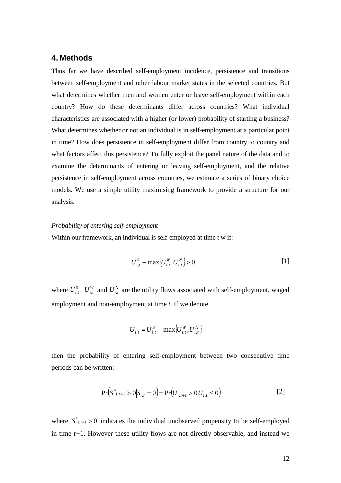## **4. Methods**

Thus far we have described self-employment incidence, persistence and transitions between self-employment and other labour market states in the selected countries. But what determines whether men and women enter or leave self-employment within each country? How do these determinants differ across countries? What individual characteristics are associated with a higher (or lower) probability of starting a business? What determines whether or not an individual is in self-employment at a particular point in time? How does persistence in self-employment differ from country to country and what factors affect this persistence? To fully exploit the panel nature of the data and to examine the determinants of entering or leaving self-employment, and the relative persistence in self-employment across countries, we estimate a series of binary choice models. We use a simple utility maximising framework to provide a structure for our analysis.

### *Probability of entering self-employment*

Within our framework, an individual is self-employed at time *t* w if:

$$
U_{i,t}^S - \max \{ U_{i,t}^W, U_{i,t}^N \} > 0
$$
 [1]

where  $U_{i,t}^S$ ,  $U_{i,t}^W$  and  $U_{i,t}^N$  are the utility flows associated with self-employment, waged employment and non-employment at time *t*. If we denote

$$
U_{i,t} = U_{i,t}^{S} - \max\{U_{i,t}^{W}, U_{i,t}^{N}\}
$$

then the probability of entering self-employment between two consecutive time periods can be written:

$$
\Pr(S^*_{i,t+1} > 0 | S_{i,t} = 0) = \Pr(U_{i,t+1} > 0 | U_{i,t} \le 0)
$$
\n[2]

where  $S^*_{i,t+1} > 0$  indicates the individual unobserved propensity to be self-employed in time *t+*1. However these utility flows are not directly observable, and instead we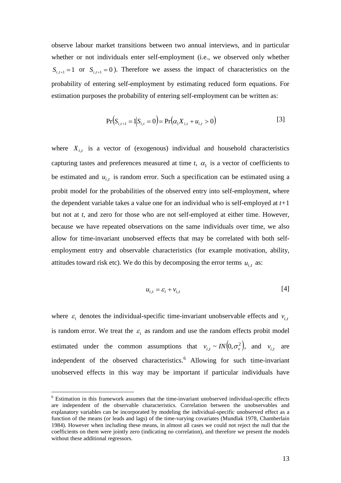observe labour market transitions between two annual interviews, and in particular whether or not individuals enter self-employment (i.e., we observed only whether  $S_{i,t+1} = 1$  or  $S_{i,t+1} = 0$ ). Therefore we assess the impact of characteristics on the probability of entering self-employment by estimating reduced form equations. For estimation purposes the probability of entering self-employment can be written as:

$$
Pr(S_{i,t+1} = 1 | S_{i,t} = 0) = Pr(\alpha_1 X_{i,t} + u_{i,t} > 0)
$$
\n[3]

where  $X_{i,t}$  is a vector of (exogenous) individual and household characteristics capturing tastes and preferences measured at time  $t$ ,  $\alpha_1$  is a vector of coefficients to be estimated and  $u_{i,t}$  is random error. Such a specification can be estimated using a probit model for the probabilities of the observed entry into self-employment, where the dependent variable takes a value one for an individual who is self-employed at *t+*1 but not at *t*, and zero for those who are not self-employed at either time. However, because we have repeated observations on the same individuals over time, we also allow for time-invariant unobserved effects that may be correlated with both selfemployment entry and observable characteristics (for example motivation, ability, attitudes toward risk etc). We do this by decomposing the error terms  $u_{i,t}$  as:

$$
u_{i,t} = \varepsilon_i + v_{i,t} \tag{4}
$$

where  $\varepsilon_i$  denotes the individual-specific time-invariant unobservable effects and  $v_i$ , is random error. We treat the  $\varepsilon_i$  as random and use the random effects probit model estimated under the common assumptions that  $v_{i,t} \sim IN(0, \sigma_v^2)$ , and  $v_{i,t}$  are independent of the observed characteristics.<sup>[6](#page-15-0)</sup> Allowing for such time-invariant unobserved effects in this way may be important if particular individuals have

<span id="page-15-0"></span> <sup>6</sup> Estimation in this framework assumes that the time-invariant unobserved individual-specific effects are independent of the observable characteristics. Correlation between the unobservables and explanatory variables can be incorporated by modeling the individual-specific unobserved effect as a function of the means (or leads and lags) of the time-varying covariates (Mundlak 1978, Chamberlain 1984). However when including these means, in almost all cases we could not reject the null that the coefficients on them were jointly zero (indicating no correlation), and therefore we present the models without these additional regressors.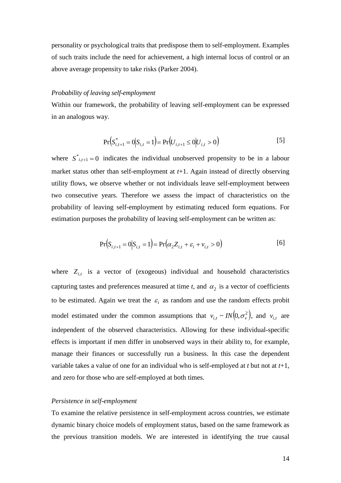personality or psychological traits that predispose them to self-employment. Examples of such traits include the need for achievement, a high internal locus of control or an above average propensity to take risks (Parker 2004).

#### *Probability of leaving self-employment*

Within our framework, the probability of leaving self-employment can be expressed in an analogous way.

$$
Pr(S_{i,t+1}^* = 0 | S_{i,t} = 1) = Pr(U_{i,t+1} \le 0 | U_{i,t} > 0)
$$
\n<sup>[5]</sup>

where  $S^*_{i,t+1} = 0$  indicates the individual unobserved propensity to be in a labour market status other than self-employment at *t*+1. Again instead of directly observing utility flows, we observe whether or not individuals leave self-employment between two consecutive years. Therefore we assess the impact of characteristics on the probability of leaving self-employment by estimating reduced form equations. For estimation purposes the probability of leaving self-employment can be written as:

$$
Pr(S_{i,t+1} = 0 | S_{i,t} = 1) = Pr(\alpha_2 Z_{i,t} + \varepsilon_i + \nu_{i,t} > 0)
$$
 [6]

where  $Z_{i,t}$  is a vector of (exogeous) individual and household characteristics capturing tastes and preferences measured at time  $t$ , and  $\alpha_2$  is a vector of coefficients to be estimated. Again we treat the  $\varepsilon_i$  as random and use the random effects probit model estimated under the common assumptions that  $v_{i,t} \sim IN(0, \sigma_v^2)$ , and  $v_{i,t}$  are independent of the observed characteristics. Allowing for these individual-specific effects is important if men differ in unobserved ways in their ability to, for example, manage their finances or successfully run a business. In this case the dependent variable takes a value of one for an individual who is self-employed at *t* but not at *t*+1, and zero for those who are self-employed at both times.

#### *Persistence in self-employment*

To examine the relative persistence in self-employment across countries, we estimate dynamic binary choice models of employment status, based on the same framework as the previous transition models. We are interested in identifying the true causal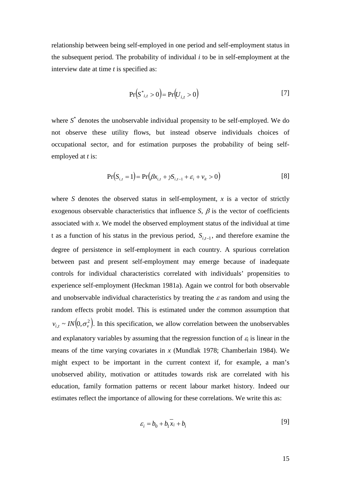relationship between being self-employed in one period and self-employment status in the subsequent period. The probability of individual *i* to be in self-employment at the interview date at time *t* is specified as:

$$
Pr(S^*_{i,t} > 0) = Pr(U_{i,t} > 0)
$$
\n[7]

where *S*\* denotes the unobservable individual propensity to be self-employed. We do not observe these utility flows, but instead observe individuals choices of occupational sector, and for estimation purposes the probability of being selfemployed at *t* is:

$$
Pr(S_{i,t} = 1) = Pr(\beta x_{i,t} + \gamma S_{i,t-1} + \varepsilon_i + \nu_{it} > 0)
$$
\n[8]

where *S* denotes the observed status in self-employment,  $x$  is a vector of strictly exogenous observable characteristics that influence *S*,  $\beta$  is the vector of coefficients associated with *x*. We model the observed employment status of the individual at time t as a function of his status in the previous period, *Si*,*t*−<sup>1</sup> , and therefore examine the degree of persistence in self-employment in each country. A spurious correlation between past and present self-employment may emerge because of inadequate controls for individual characteristics correlated with individuals' propensities to experience self-employment (Heckman 1981a). Again we control for both observable and unobservable individual characteristics by treating the  $\varepsilon$  as random and using the random effects probit model. This is estimated under the common assumption that  $v_{i,t} \sim IN(0, \sigma_v^2)$ . In this specification, we allow correlation between the unobservables and explanatory variables by assuming that the regression function of  $\varepsilon_i$  is linear in the means of the time varying covariates in *x* (Mundlak 1978; Chamberlain 1984). We might expect to be important in the current context if, for example, a man's unobserved ability, motivation or attitudes towards risk are correlated with his education, family formation patterns or recent labour market history. Indeed our estimates reflect the importance of allowing for these correlations. We write this as:

$$
\varepsilon_i = b_0 + b_1 \overline{x_i} + b_i \tag{9}
$$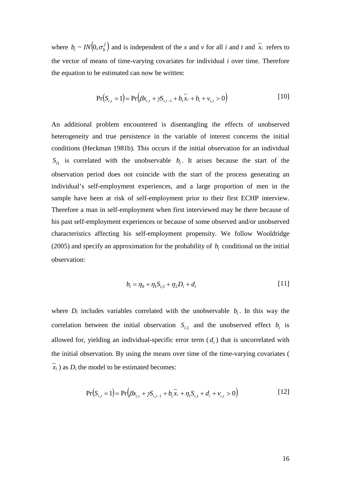where  $b_i \sim IN(0, \sigma_b^2)$  and is independent of the *x* and *v* for all *i* and *t* and  $\overline{x_i}$  refers to the vector of means of time-varying covariates for individual *i* over time. Therefore the equation to be estimated can now be written:

$$
Pr(S_{i,t} = 1) = Pr(\beta x_{i,t} + \gamma S_{i,t-1} + b_1 \overline{x_i} + b_i + v_{i,t} > 0)
$$
\n[10]

An additional problem encountered is disentangling the effects of unobserved heterogeneity and true persistence in the variable of interest concerns the initial conditions (Heckman 1981b). This occurs if the initial observation for an individual  $S_{i1}$  is correlated with the unobservable  $b_i$ . It arises because the start of the observation period does not coincide with the start of the process generating an individual's self-employment experiences, and a large proportion of men in the sample have been at risk of self-employment prior to their first ECHP interview. Therefore a man in self-employment when first interviewed may be there because of his past self-employment experiences or because of some observed and/or unobserved characteristics affecting his self-employment propensity. We follow Wooldridge (2005) and specify an approximation for the probability of  $b_i$  conditional on the initial observation:

$$
b_i = \eta_0 + \eta_1 S_{i,1} + \eta_2 D_i + d_i
$$
 [11]

where  $D_i$  includes variables correlated with the unobservable  $b_i$ . In this way the correlation between the initial observation  $S_{i,1}$  and the unobserved effect  $b_i$  is allowed for, yielding an individual-specific error term  $(d_i)$  that is uncorrelated with the initial observation. By using the means over time of the time-varying covariates (  $\overline{x_i}$ ) as  $D_i$  the model to be estimated becomes:

$$
Pr(S_{i,t} = 1) = Pr(\beta x_{i,t} + \gamma S_{i,t-1} + b_1 \overline{x}_i + \eta_1 S_{i,1} + d_i + v_{i,t} > 0)
$$
\n[12]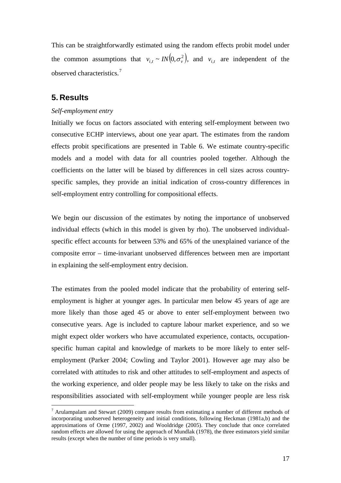This can be straightforwardly estimated using the random effects probit model under the common assumptions that  $v_{i,t} \sim IN(0, \sigma_v^2)$ , and  $v_{i,t}$  are independent of the observed characteristics.[7](#page-19-0)

## **5. Results**

#### *Self-employment entry*

Initially we focus on factors associated with entering self-employment between two consecutive ECHP interviews, about one year apart. The estimates from the random effects probit specifications are presented in Table 6. We estimate country-specific models and a model with data for all countries pooled together. Although the coefficients on the latter will be biased by differences in cell sizes across countryspecific samples, they provide an initial indication of cross-country differences in self-employment entry controlling for compositional effects.

We begin our discussion of the estimates by noting the importance of unobserved individual effects (which in this model is given by rho). The unobserved individualspecific effect accounts for between 53% and 65% of the unexplained variance of the composite error – time-invariant unobserved differences between men are important in explaining the self-employment entry decision.

The estimates from the pooled model indicate that the probability of entering selfemployment is higher at younger ages. In particular men below 45 years of age are more likely than those aged 45 or above to enter self-employment between two consecutive years. Age is included to capture labour market experience, and so we might expect older workers who have accumulated experience, contacts, occupationspecific human capital and knowledge of markets to be more likely to enter selfemployment (Parker 2004; Cowling and Taylor 2001). However age may also be correlated with attitudes to risk and other attitudes to self-employment and aspects of the working experience, and older people may be less likely to take on the risks and responsibilities associated with self-employment while younger people are less risk

<span id="page-19-0"></span> $^7$  Arulampalam and Stewart (2009) compare results from estimating a number of different methods of incorporating unobserved heterogeneity and initial conditions, following Heckman (1981a,b) and the approximations of Orme (1997, 2002) and Wooldridge (2005). They conclude that once correlated random effects are allowed for using the approach of Mundlak (1978), the three estimators yield similar results (except when the number of time periods is very small).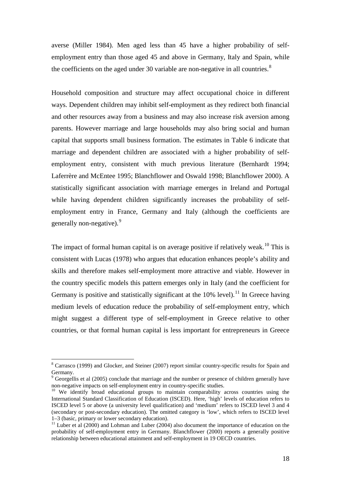averse (Miller 1984). Men aged less than 45 have a higher probability of selfemployment entry than those aged 45 and above in Germany, Italy and Spain, while the coefficients on the aged under 30 variable are non-negative in all countries. $8$ 

Household composition and structure may affect occupational choice in different ways. Dependent children may inhibit self-employment as they redirect both financial and other resources away from a business and may also increase risk aversion among parents. However marriage and large households may also bring social and human capital that supports small business formation. The estimates in Table 6 indicate that marriage and dependent children are associated with a higher probability of selfemployment entry, consistent with much previous literature (Bernhardt 1994; Laferrère and McEntee 1995; Blanchflower and Oswald 1998; Blanchflower 2000). A statistically significant association with marriage emerges in Ireland and Portugal while having dependent children significantly increases the probability of selfemployment entry in France, Germany and Italy (although the coefficients are generally non-negative).<sup>[9](#page-20-1)</sup>

The impact of formal human capital is on average positive if relatively weak.<sup>[10](#page-20-2)</sup> This is consistent with Lucas (1978) who argues that education enhances people's ability and skills and therefore makes self-employment more attractive and viable. However in the country specific models this pattern emerges only in Italy (and the coefficient for Germany is positive and statistically significant at the  $10\%$  level).<sup>[11](#page-20-3)</sup> In Greece having medium levels of education reduce the probability of self-employment entry, which might suggest a different type of self-employment in Greece relative to other countries, or that formal human capital is less important for entrepreneurs in Greece

<span id="page-20-0"></span> <sup>8</sup> Carrasco (1999) and Glocker, and Steiner (2007) report similar country-specific results for Spain and Germany.

<span id="page-20-1"></span><sup>&</sup>lt;sup>9</sup> Georgellis et al (2005) conclude that marriage and the number or presence of children generally have non-negative impacts on self-employment entry in country-specific studies.

<span id="page-20-2"></span><sup>&</sup>lt;sup>10</sup> We identify broad educational groups to maintain comparability across countries using the International Standard Classification of Education (ISCED). Here, 'high' levels of education refers to ISCED level 5 or above (a university level qualification) and 'medium' refers to ISCED level 3 and 4 (secondary or post-secondary education). The omitted category is 'low', which refers to ISCED level 1–3 (basic, primary or lower secondary education).

<span id="page-20-3"></span> $11$  Luber et al (2000) and Lohman and Luber (2004) also document the importance of education on the probability of self-employment entry in Germany. Blanchflower (2000) reports a generally positive relationship between educational attainment and self-employment in 19 OECD countries.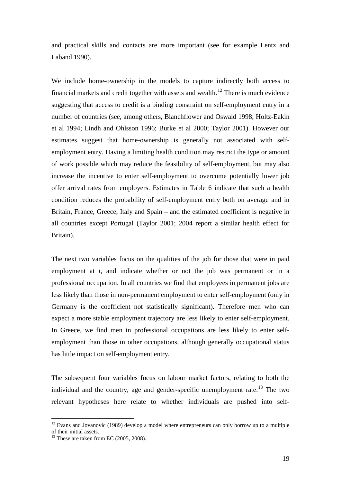and practical skills and contacts are more important (see for example Lentz and Laband 1990).

We include home-ownership in the models to capture indirectly both access to financial markets and credit together with assets and wealth.<sup>[12](#page-21-0)</sup> There is much evidence suggesting that access to credit is a binding constraint on self-employment entry in a number of countries (see, among others, Blanchflower and Oswald 1998; Holtz-Eakin et al 1994; Lindh and Ohlsson 1996; Burke et al 2000; Taylor 2001). However our estimates suggest that home-ownership is generally not associated with selfemployment entry. Having a limiting health condition may restrict the type or amount of work possible which may reduce the feasibility of self-employment, but may also increase the incentive to enter self-employment to overcome potentially lower job offer arrival rates from employers. Estimates in Table 6 indicate that such a health condition reduces the probability of self-employment entry both on average and in Britain, France, Greece, Italy and Spain – and the estimated coefficient is negative in all countries except Portugal (Taylor 2001; 2004 report a similar health effect for Britain).

The next two variables focus on the qualities of the job for those that were in paid employment at *t*, and indicate whether or not the job was permanent or in a professional occupation. In all countries we find that employees in permanent jobs are less likely than those in non-permanent employment to enter self-employment (only in Germany is the coefficient not statistically significant). Therefore men who can expect a more stable employment trajectory are less likely to enter self-employment. In Greece, we find men in professional occupations are less likely to enter selfemployment than those in other occupations, although generally occupational status has little impact on self-employment entry.

The subsequent four variables focus on labour market factors, relating to both the individual and the country, age and gender-specific unemployment rate.<sup>[13](#page-21-1)</sup> The two relevant hypotheses here relate to whether individuals are pushed into self-

<span id="page-21-0"></span> $12$  Evans and Jovanovic (1989) develop a model where entrepreneurs can only borrow up to a multiple of their initial assets.

<span id="page-21-1"></span> $13$  These are taken from EC (2005, 2008).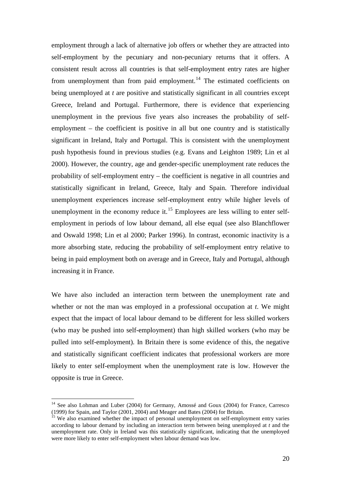employment through a lack of alternative job offers or whether they are attracted into self-employment by the pecuniary and non-pecuniary returns that it offers. A consistent result across all countries is that self-employment entry rates are higher from unemployment than from paid employment.<sup>[14](#page-22-0)</sup> The estimated coefficients on being unemployed at *t* are positive and statistically significant in all countries except Greece, Ireland and Portugal. Furthermore, there is evidence that experiencing unemployment in the previous five years also increases the probability of selfemployment – the coefficient is positive in all but one country and is statistically significant in Ireland, Italy and Portugal. This is consistent with the unemployment push hypothesis found in previous studies (e.g. Evans and Leighton 1989; Lin et al 2000). However, the country, age and gender-specific unemployment rate reduces the probability of self-employment entry – the coefficient is negative in all countries and statistically significant in Ireland, Greece, Italy and Spain. Therefore individual unemployment experiences increase self-employment entry while higher levels of unemployment in the economy reduce it.<sup>[15](#page-22-1)</sup> Employees are less willing to enter selfemployment in periods of low labour demand, all else equal (see also Blanchflower and Oswald 1998; Lin et al 2000; Parker 1996). In contrast, economic inactivity is a more absorbing state, reducing the probability of self-employment entry relative to being in paid employment both on average and in Greece, Italy and Portugal, although increasing it in France.

We have also included an interaction term between the unemployment rate and whether or not the man was employed in a professional occupation at *t*. We might expect that the impact of local labour demand to be different for less skilled workers (who may be pushed into self-employment) than high skilled workers (who may be pulled into self-employment). In Britain there is some evidence of this, the negative and statistically significant coefficient indicates that professional workers are more likely to enter self-employment when the unemployment rate is low. However the opposite is true in Greece.

<span id="page-22-0"></span><sup>&</sup>lt;sup>14</sup> See also Lohman and Luber (2004) for Germany, Amossé and Goux (2004) for France, Carresco (1999) for Spain, and Taylor (2001, 2004) and Meager and Bates (2004) for Britain.

<span id="page-22-1"></span> $\frac{15}{15}$  We also examined whether the impact of personal unemployment on self-employment entry varies according to labour demand by including an interaction term between being unemployed at *t* and the unemployment rate. Only in Ireland was this statistically significant, indicating that the unemployed were more likely to enter self-employment when labour demand was low.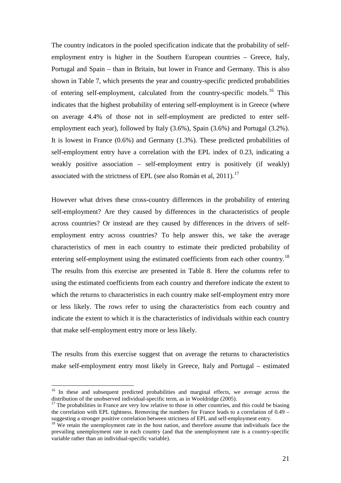The country indicators in the pooled specification indicate that the probability of selfemployment entry is higher in the Southern European countries – Greece, Italy, Portugal and Spain – than in Britain, but lower in France and Germany. This is also shown in Table 7, which presents the year and country-specific predicted probabilities of entering self-employment, calculated from the country-specific models.<sup>[16](#page-23-0)</sup> This indicates that the highest probability of entering self-employment is in Greece (where on average 4.4% of those not in self-employment are predicted to enter selfemployment each year), followed by Italy (3.6%), Spain (3.6%) and Portugal (3.2%). It is lowest in France (0.6%) and Germany (1.3%). These predicted probabilities of self-employment entry have a correlation with the EPL index of 0.23, indicating a weakly positive association – self-employment entry is positively (if weakly) associated with the strictness of EPL (see also Román et al, 2011).<sup>[17](#page-23-1)</sup>

However what drives these cross-country differences in the probability of entering self-employment? Are they caused by differences in the characteristics of people across countries? Or instead are they caused by differences in the drivers of selfemployment entry across countries? To help answer this, we take the average characteristics of men in each country to estimate their predicted probability of entering self-employment using the estimated coefficients from each other country.<sup>[18](#page-23-2)</sup> The results from this exercise are presented in Table 8. Here the columns refer to using the estimated coefficients from each country and therefore indicate the extent to which the returns to characteristics in each country make self-employment entry more or less likely. The rows refer to using the characteristics from each country and indicate the extent to which it is the characteristics of individuals within each country that make self-employment entry more or less likely.

The results from this exercise suggest that on average the returns to characteristics make self-employment entry most likely in Greece, Italy and Portugal – estimated

<span id="page-23-0"></span><sup>&</sup>lt;sup>16</sup> In these and subsequent predicted probabilities and marginal effects, we average across the distribution of the unobserved individual-specific term, as in Wooldridge  $(2005)$ .

<span id="page-23-1"></span> $17$  The probabilities in France are very low relative to those in other countries, and this could be biasing the correlation with EPL tightness. Removing the numbers for France leads to a correlation of  $0.49 -$ <br>suggesting a stronger positive correlation between strictness of EPL and self-employment entry.

<span id="page-23-2"></span> $18$  We retain the unemployment rate in the host nation, and therefore assume that individuals face the prevailing unemployment rate in each country (and that the unemployment rate is a country-specific variable rather than an individual-specific variable).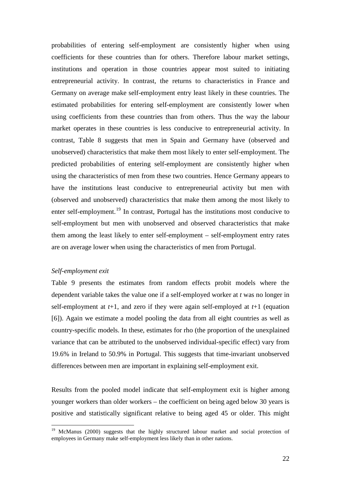probabilities of entering self-employment are consistently higher when using coefficients for these countries than for others. Therefore labour market settings, institutions and operation in those countries appear most suited to initiating entrepreneurial activity. In contrast, the returns to characteristics in France and Germany on average make self-employment entry least likely in these countries. The estimated probabilities for entering self-employment are consistently lower when using coefficients from these countries than from others. Thus the way the labour market operates in these countries is less conducive to entrepreneurial activity. In contrast, Table 8 suggests that men in Spain and Germany have (observed and unobserved) characteristics that make them most likely to enter self-employment. The predicted probabilities of entering self-employment are consistently higher when using the characteristics of men from these two countries. Hence Germany appears to have the institutions least conducive to entrepreneurial activity but men with (observed and unobserved) characteristics that make them among the most likely to enter self-employment.<sup>[19](#page-24-0)</sup> In contrast, Portugal has the institutions most conducive to self-employment but men with unobserved and observed characteristics that make them among the least likely to enter self-employment – self-employment entry rates are on average lower when using the characteristics of men from Portugal.

#### *Self-employment exit*

Table 9 presents the estimates from random effects probit models where the dependent variable takes the value one if a self-employed worker at *t* was no longer in self-employment at *t*+1, and zero if they were again self-employed at *t*+1 (equation [6]). Again we estimate a model pooling the data from all eight countries as well as country-specific models. In these, estimates for rho (the proportion of the unexplained variance that can be attributed to the unobserved individual-specific effect) vary from 19.6% in Ireland to 50.9% in Portugal. This suggests that time-invariant unobserved differences between men are important in explaining self-employment exit.

Results from the pooled model indicate that self-employment exit is higher among younger workers than older workers – the coefficient on being aged below 30 years is positive and statistically significant relative to being aged 45 or older. This might

<span id="page-24-0"></span><sup>&</sup>lt;sup>19</sup> McManus (2000) suggests that the highly structured labour market and social protection of employees in Germany make self-employment less likely than in other nations.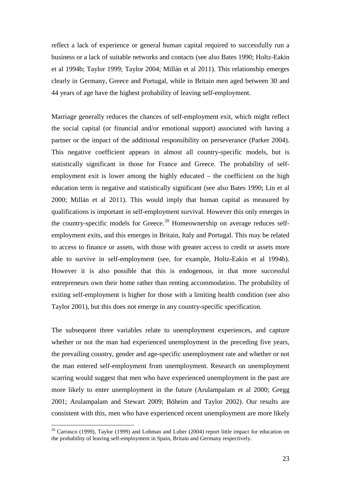reflect a lack of experience or general human capital required to successfully run a business or a lack of suitable networks and contacts (see also Bates 1990; Holtz-Eakin et al 1994b; Taylor 1999; Taylor 2004; Millán et al 2011). This relationship emerges clearly in Germany, Greece and Portugal, while in Britain men aged between 30 and 44 years of age have the highest probability of leaving self-employment.

Marriage generally reduces the chances of self-employment exit, which might reflect the social capital (or financial and/or emotional support) associated with having a partner or the impact of the additional responsibility on perseverance (Parker 2004). This negative coefficient appears in almost all country-specific models, but is statistically significant in those for France and Greece. The probability of selfemployment exit is lower among the highly educated – the coefficient on the high education term is negative and statistically significant (see also Bates 1990; Lin et al 2000; Millán et al 2011). This would imply that human capital as measured by qualifications is important in self-employment survival. However this only emerges in the country-specific models for Greece.<sup>[20](#page-25-0)</sup> Homeownership on average reduces selfemployment exits, and this emerges in Britain, Italy and Portugal. This may be related to access to finance or assets, with those with greater access to credit or assets more able to survive in self-employment (see, for example, Holtz-Eakin et al 1994b). However it is also possible that this is endogenous, in that more successful entrepreneurs own their home rather than renting accommodation. The probability of exiting self-employment is higher for those with a limiting health condition (see also Taylor 2001), but this does not emerge in any country-specific specification.

The subsequent three variables relate to unemployment experiences, and capture whether or not the man had experienced unemployment in the preceding five years, the prevailing country, gender and age-specific unemployment rate and whether or not the man entered self-employment from unemployment. Research on unemployment scarring would suggest that men who have experienced unemployment in the past are more likely to enter unemployment in the future (Arulampalam et al 2000; Gregg 2001; Arulampalam and Stewart 2009; Böheim and Taylor 2002). Our results are consistent with this, men who have experienced recent unemployment are more likely

<span id="page-25-0"></span> $20$  Carrasco (1999), Taylor (1999) and Lohman and Luber (2004) report little impact for education on the probability of leaving self-employment in Spain, Britain and Germany respectively.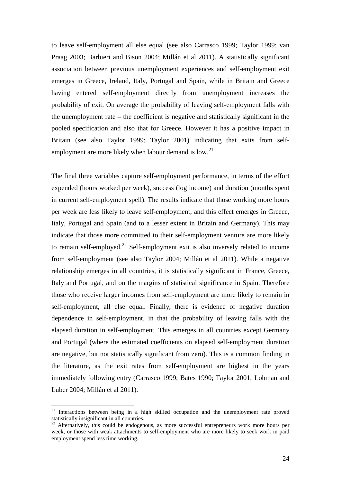to leave self-employment all else equal (see also Carrasco 1999; Taylor 1999; van Praag 2003; Barbieri and Bison 2004; Millán et al 2011). A statistically significant association between previous unemployment experiences and self-employment exit emerges in Greece, Ireland, Italy, Portugal and Spain, while in Britain and Greece having entered self-employment directly from unemployment increases the probability of exit. On average the probability of leaving self-employment falls with the unemployment rate – the coefficient is negative and statistically significant in the pooled specification and also that for Greece. However it has a positive impact in Britain (see also Taylor 1999; Taylor 2001) indicating that exits from self-employment are more likely when labour demand is low.<sup>[21](#page-26-0)</sup>

The final three variables capture self-employment performance, in terms of the effort expended (hours worked per week), success (log income) and duration (months spent in current self-employment spell). The results indicate that those working more hours per week are less likely to leave self-employment, and this effect emerges in Greece, Italy, Portugal and Spain (and to a lesser extent in Britain and Germany). This may indicate that those more committed to their self-employment venture are more likely to remain self-employed.<sup>[22](#page-26-1)</sup> Self-employment exit is also inversely related to income from self-employment (see also Taylor 2004; Millán et al 2011). While a negative relationship emerges in all countries, it is statistically significant in France, Greece, Italy and Portugal, and on the margins of statistical significance in Spain. Therefore those who receive larger incomes from self-employment are more likely to remain in self-employment, all else equal. Finally, there is evidence of negative duration dependence in self-employment, in that the probability of leaving falls with the elapsed duration in self-employment. This emerges in all countries except Germany and Portugal (where the estimated coefficients on elapsed self-employment duration are negative, but not statistically significant from zero). This is a common finding in the literature, as the exit rates from self-employment are highest in the years immediately following entry (Carrasco 1999; Bates 1990; Taylor 2001; Lohman and Luber 2004; Millán et al 2011).

<span id="page-26-0"></span><sup>&</sup>lt;sup>21</sup> Interactions between being in a high skilled occupation and the unemployment rate proved statistically insignificant in all countries.

<span id="page-26-1"></span><sup>&</sup>lt;sup>22</sup> Alternatively, this could be endogenous, as more successful entrepreneurs work more hours per week, or those with weak attachments to self-employment who are more likely to seek work in paid employment spend less time working.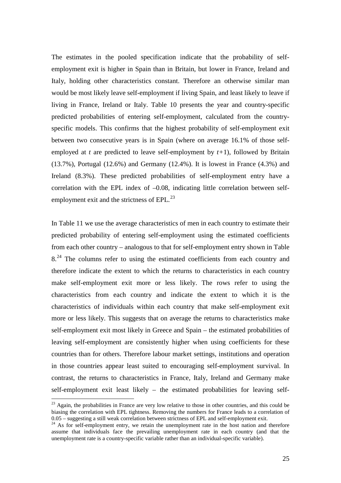The estimates in the pooled specification indicate that the probability of selfemployment exit is higher in Spain than in Britain, but lower in France, Ireland and Italy, holding other characteristics constant. Therefore an otherwise similar man would be most likely leave self-employment if living Spain, and least likely to leave if living in France, Ireland or Italy. Table 10 presents the year and country-specific predicted probabilities of entering self-employment, calculated from the countryspecific models. This confirms that the highest probability of self-employment exit between two consecutive years is in Spain (where on average 16.1% of those selfemployed at *t* are predicted to leave self-employment by *t+*1), followed by Britain (13.7%), Portugal (12.6%) and Germany (12.4%). It is lowest in France (4.3%) and Ireland (8.3%). These predicted probabilities of self-employment entry have a correlation with the EPL index of  $-0.08$ , indicating little correlation between selfemployment exit and the strictness of  $EPL<sup>23</sup>$  $EPL<sup>23</sup>$  $EPL<sup>23</sup>$ 

In Table 11 we use the average characteristics of men in each country to estimate their predicted probability of entering self-employment using the estimated coefficients from each other country – analogous to that for self-employment entry shown in Table  $8.^{24}$  $8.^{24}$  $8.^{24}$  The columns refer to using the estimated coefficients from each country and therefore indicate the extent to which the returns to characteristics in each country make self-employment exit more or less likely. The rows refer to using the characteristics from each country and indicate the extent to which it is the characteristics of individuals within each country that make self-employment exit more or less likely. This suggests that on average the returns to characteristics make self-employment exit most likely in Greece and Spain – the estimated probabilities of leaving self-employment are consistently higher when using coefficients for these countries than for others. Therefore labour market settings, institutions and operation in those countries appear least suited to encouraging self-employment survival. In contrast, the returns to characteristics in France, Italy, Ireland and Germany make self-employment exit least likely – the estimated probabilities for leaving self-

<span id="page-27-0"></span> $23$  Again, the probabilities in France are very low relative to those in other countries, and this could be biasing the correlation with EPL tightness. Removing the numbers for France leads to a correlation of 0.05 – suggesting a still weak correlation between strictness of EPL and self-employment exit.

<span id="page-27-1"></span> $\frac{24}{4}$  As for self-employment entry, we retain the unemployment rate in the host nation and therefore assume that individuals face the prevailing unemployment rate in each country (and that the unemployment rate is a country-specific variable rather than an individual-specific variable).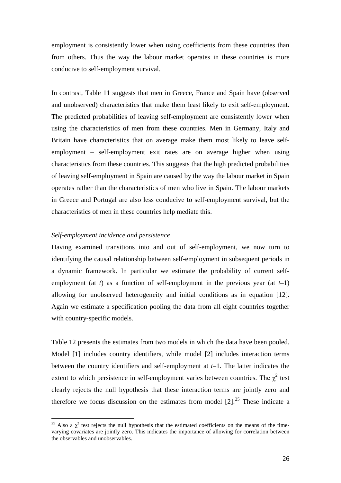employment is consistently lower when using coefficients from these countries than from others. Thus the way the labour market operates in these countries is more conducive to self-employment survival.

In contrast, Table 11 suggests that men in Greece, France and Spain have (observed and unobserved) characteristics that make them least likely to exit self-employment. The predicted probabilities of leaving self-employment are consistently lower when using the characteristics of men from these countries. Men in Germany, Italy and Britain have characteristics that on average make them most likely to leave selfemployment – self-employment exit rates are on average higher when using characteristics from these countries. This suggests that the high predicted probabilities of leaving self-employment in Spain are caused by the way the labour market in Spain operates rather than the characteristics of men who live in Spain. The labour markets in Greece and Portugal are also less conducive to self-employment survival, but the characteristics of men in these countries help mediate this.

#### *Self-employment incidence and persistence*

Having examined transitions into and out of self-employment, we now turn to identifying the causal relationship between self-employment in subsequent periods in a dynamic framework. In particular we estimate the probability of current selfemployment (at *t*) as a function of self-employment in the previous year (at  $t-1$ ) allowing for unobserved heterogeneity and initial conditions as in equation [12]. Again we estimate a specification pooling the data from all eight countries together with country-specific models.

Table 12 presents the estimates from two models in which the data have been pooled. Model [1] includes country identifiers, while model [2] includes interaction terms between the country identifiers and self-employment at *t*–1. The latter indicates the extent to which persistence in self-employment varies between countries. The  $\chi^2$  test clearly rejects the null hypothesis that these interaction terms are jointly zero and therefore we focus discussion on the estimates from model  $[2]$ .<sup>[25](#page-28-0)</sup> These indicate a

<span id="page-28-0"></span><sup>&</sup>lt;sup>25</sup> Also a  $\chi^2$  test rejects the null hypothesis that the estimated coefficients on the means of the timevarying covariates are jointly zero. This indicates the importance of allowing for correlation between the observables and unobservables.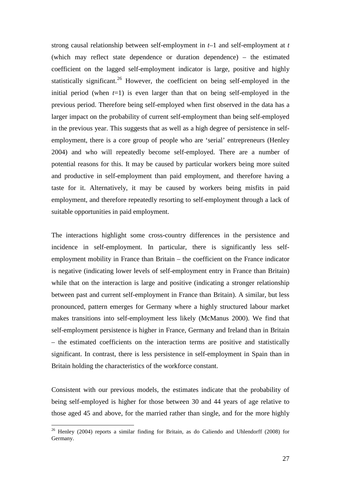strong causal relationship between self-employment in *t*–1 and self-employment at *t* (which may reflect state dependence or duration dependence) – the estimated coefficient on the lagged self-employment indicator is large, positive and highly statistically significant.<sup>[26](#page-29-0)</sup> However, the coefficient on being self-employed in the initial period (when  $t=1$ ) is even larger than that on being self-employed in the previous period. Therefore being self-employed when first observed in the data has a larger impact on the probability of current self-employment than being self-employed in the previous year. This suggests that as well as a high degree of persistence in selfemployment, there is a core group of people who are 'serial' entrepreneurs (Henley 2004) and who will repeatedly become self-employed. There are a number of potential reasons for this. It may be caused by particular workers being more suited and productive in self-employment than paid employment, and therefore having a taste for it. Alternatively, it may be caused by workers being misfits in paid employment, and therefore repeatedly resorting to self-employment through a lack of suitable opportunities in paid employment.

The interactions highlight some cross-country differences in the persistence and incidence in self-employment. In particular, there is significantly less selfemployment mobility in France than Britain – the coefficient on the France indicator is negative (indicating lower levels of self-employment entry in France than Britain) while that on the interaction is large and positive (indicating a stronger relationship between past and current self-employment in France than Britain). A similar, but less pronounced, pattern emerges for Germany where a highly structured labour market makes transitions into self-employment less likely (McManus 2000). We find that self-employment persistence is higher in France, Germany and Ireland than in Britain – the estimated coefficients on the interaction terms are positive and statistically significant. In contrast, there is less persistence in self-employment in Spain than in Britain holding the characteristics of the workforce constant.

Consistent with our previous models, the estimates indicate that the probability of being self-employed is higher for those between 30 and 44 years of age relative to those aged 45 and above, for the married rather than single, and for the more highly

<span id="page-29-0"></span><sup>&</sup>lt;sup>26</sup> Henley (2004) reports a similar finding for Britain, as do Caliendo and Uhlendorff (2008) for Germany.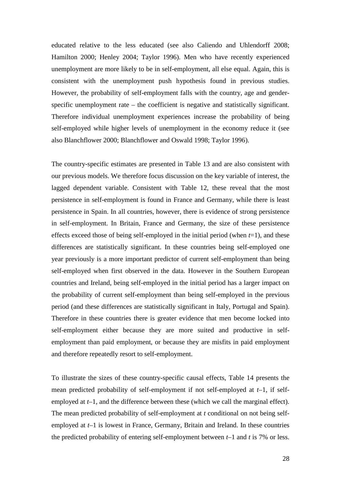educated relative to the less educated (see also Caliendo and Uhlendorff 2008; Hamilton 2000; Henley 2004; Taylor 1996). Men who have recently experienced unemployment are more likely to be in self-employment, all else equal. Again, this is consistent with the unemployment push hypothesis found in previous studies. However, the probability of self-employment falls with the country, age and genderspecific unemployment rate – the coefficient is negative and statistically significant. Therefore individual unemployment experiences increase the probability of being self-employed while higher levels of unemployment in the economy reduce it (see also Blanchflower 2000; Blanchflower and Oswald 1998; Taylor 1996).

The country-specific estimates are presented in Table 13 and are also consistent with our previous models. We therefore focus discussion on the key variable of interest, the lagged dependent variable. Consistent with Table 12, these reveal that the most persistence in self-employment is found in France and Germany, while there is least persistence in Spain. In all countries, however, there is evidence of strong persistence in self-employment. In Britain, France and Germany, the size of these persistence effects exceed those of being self-employed in the initial period (when *t*=1), and these differences are statistically significant. In these countries being self-employed one year previously is a more important predictor of current self-employment than being self-employed when first observed in the data. However in the Southern European countries and Ireland, being self-employed in the initial period has a larger impact on the probability of current self-employment than being self-employed in the previous period (and these differences are statistically significant in Italy, Portugal and Spain). Therefore in these countries there is greater evidence that men become locked into self-employment either because they are more suited and productive in selfemployment than paid employment, or because they are misfits in paid employment and therefore repeatedly resort to self-employment.

To illustrate the sizes of these country-specific causal effects, Table 14 presents the mean predicted probability of self-employment if not self-employed at *t*–1, if selfemployed at *t*–1, and the difference between these (which we call the marginal effect). The mean predicted probability of self-employment at *t* conditional on not being selfemployed at *t*–1 is lowest in France, Germany, Britain and Ireland. In these countries the predicted probability of entering self-employment between *t*–1 and *t* is 7% or less.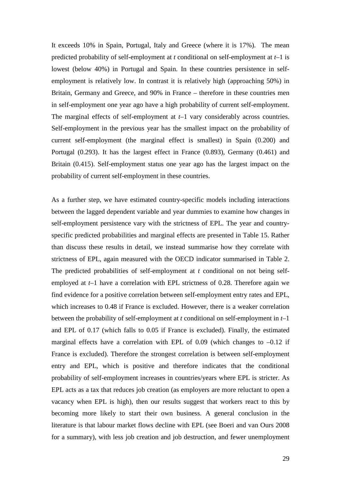It exceeds 10% in Spain, Portugal, Italy and Greece (where it is 17%). The mean predicted probability of self-employment at *t* conditional on self-employment at *t*–1 is lowest (below 40%) in Portugal and Spain. In these countries persistence in selfemployment is relatively low. In contrast it is relatively high (approaching 50%) in Britain, Germany and Greece, and 90% in France – therefore in these countries men in self-employment one year ago have a high probability of current self-employment. The marginal effects of self-employment at *t*–1 vary considerably across countries. Self-employment in the previous year has the smallest impact on the probability of current self-employment (the marginal effect is smallest) in Spain (0.200) and Portugal (0.293). It has the largest effect in France (0.893), Germany (0.461) and Britain (0.415). Self-employment status one year ago has the largest impact on the probability of current self-employment in these countries.

As a further step, we have estimated country-specific models including interactions between the lagged dependent variable and year dummies to examine how changes in self-employment persistence vary with the strictness of EPL. The year and countryspecific predicted probabilities and marginal effects are presented in Table 15. Rather than discuss these results in detail, we instead summarise how they correlate with strictness of EPL, again measured with the OECD indicator summarised in Table 2. The predicted probabilities of self-employment at *t* conditional on not being selfemployed at *t*–1 have a correlation with EPL strictness of 0.28. Therefore again we find evidence for a positive correlation between self-employment entry rates and EPL, which increases to 0.48 if France is excluded. However, there is a weaker correlation between the probability of self-employment at *t* conditional on self-employment in *t*–1 and EPL of 0.17 (which falls to 0.05 if France is excluded). Finally, the estimated marginal effects have a correlation with EPL of  $0.09$  (which changes to  $-0.12$  if France is excluded). Therefore the strongest correlation is between self-employment entry and EPL, which is positive and therefore indicates that the conditional probability of self-employment increases in countries/years where EPL is stricter. As EPL acts as a tax that reduces job creation (as employers are more reluctant to open a vacancy when EPL is high), then our results suggest that workers react to this by becoming more likely to start their own business. A general conclusion in the literature is that labour market flows decline with EPL (see Boeri and van Ours 2008 for a summary), with less job creation and job destruction, and fewer unemployment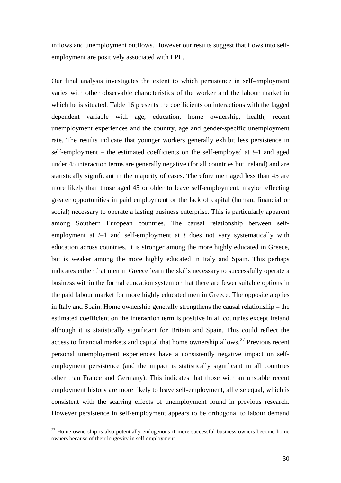inflows and unemployment outflows. However our results suggest that flows into selfemployment are positively associated with EPL.

Our final analysis investigates the extent to which persistence in self-employment varies with other observable characteristics of the worker and the labour market in which he is situated. Table 16 presents the coefficients on interactions with the lagged dependent variable with age, education, home ownership, health, recent unemployment experiences and the country, age and gender-specific unemployment rate. The results indicate that younger workers generally exhibit less persistence in self-employment – the estimated coefficients on the self-employed at *t*–1 and aged under 45 interaction terms are generally negative (for all countries but Ireland) and are statistically significant in the majority of cases. Therefore men aged less than 45 are more likely than those aged 45 or older to leave self-employment, maybe reflecting greater opportunities in paid employment or the lack of capital (human, financial or social) necessary to operate a lasting business enterprise. This is particularly apparent among Southern European countries. The causal relationship between selfemployment at *t*–1 and self-employment at *t* does not vary systematically with education across countries. It is stronger among the more highly educated in Greece, but is weaker among the more highly educated in Italy and Spain. This perhaps indicates either that men in Greece learn the skills necessary to successfully operate a business within the formal education system or that there are fewer suitable options in the paid labour market for more highly educated men in Greece. The opposite applies in Italy and Spain. Home ownership generally strengthens the causal relationship – the estimated coefficient on the interaction term is positive in all countries except Ireland although it is statistically significant for Britain and Spain. This could reflect the access to financial markets and capital that home ownership allows.<sup>[27](#page-32-0)</sup> Previous recent personal unemployment experiences have a consistently negative impact on selfemployment persistence (and the impact is statistically significant in all countries other than France and Germany). This indicates that those with an unstable recent employment history are more likely to leave self-employment, all else equal, which is consistent with the scarring effects of unemployment found in previous research. However persistence in self-employment appears to be orthogonal to labour demand

<span id="page-32-0"></span> $27$  Home ownership is also potentially endogenous if more successful business owners become home owners because of their longevity in self-employment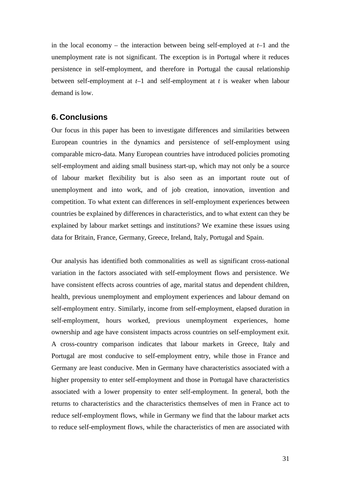in the local economy – the interaction between being self-employed at *t*–1 and the unemployment rate is not significant. The exception is in Portugal where it reduces persistence in self-employment, and therefore in Portugal the causal relationship between self-employment at *t*–1 and self-employment at *t* is weaker when labour demand is low.

## **6. Conclusions**

Our focus in this paper has been to investigate differences and similarities between European countries in the dynamics and persistence of self-employment using comparable micro-data. Many European countries have introduced policies promoting self-employment and aiding small business start-up, which may not only be a source of labour market flexibility but is also seen as an important route out of unemployment and into work, and of job creation, innovation, invention and competition. To what extent can differences in self-employment experiences between countries be explained by differences in characteristics, and to what extent can they be explained by labour market settings and institutions? We examine these issues using data for Britain, France, Germany, Greece, Ireland, Italy, Portugal and Spain.

Our analysis has identified both commonalities as well as significant cross-national variation in the factors associated with self-employment flows and persistence. We have consistent effects across countries of age, marital status and dependent children, health, previous unemployment and employment experiences and labour demand on self-employment entry. Similarly, income from self-employment, elapsed duration in self-employment, hours worked, previous unemployment experiences, home ownership and age have consistent impacts across countries on self-employment exit. A cross-country comparison indicates that labour markets in Greece, Italy and Portugal are most conducive to self-employment entry, while those in France and Germany are least conducive. Men in Germany have characteristics associated with a higher propensity to enter self-employment and those in Portugal have characteristics associated with a lower propensity to enter self-employment. In general, both the returns to characteristics and the characteristics themselves of men in France act to reduce self-employment flows, while in Germany we find that the labour market acts to reduce self-employment flows, while the characteristics of men are associated with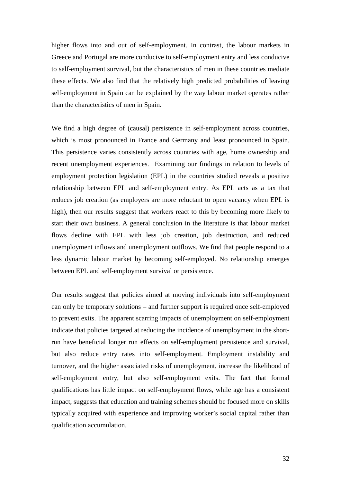higher flows into and out of self-employment. In contrast, the labour markets in Greece and Portugal are more conducive to self-employment entry and less conducive to self-employment survival, but the characteristics of men in these countries mediate these effects. We also find that the relatively high predicted probabilities of leaving self-employment in Spain can be explained by the way labour market operates rather than the characteristics of men in Spain.

We find a high degree of (causal) persistence in self-employment across countries, which is most pronounced in France and Germany and least pronounced in Spain. This persistence varies consistently across countries with age, home ownership and recent unemployment experiences. Examining our findings in relation to levels of employment protection legislation (EPL) in the countries studied reveals a positive relationship between EPL and self-employment entry. As EPL acts as a tax that reduces job creation (as employers are more reluctant to open vacancy when EPL is high), then our results suggest that workers react to this by becoming more likely to start their own business. A general conclusion in the literature is that labour market flows decline with EPL with less job creation, job destruction, and reduced unemployment inflows and unemployment outflows. We find that people respond to a less dynamic labour market by becoming self-employed. No relationship emerges between EPL and self-employment survival or persistence.

Our results suggest that policies aimed at moving individuals into self-employment can only be temporary solutions – and further support is required once self-employed to prevent exits. The apparent scarring impacts of unemployment on self-employment indicate that policies targeted at reducing the incidence of unemployment in the shortrun have beneficial longer run effects on self-employment persistence and survival, but also reduce entry rates into self-employment. Employment instability and turnover, and the higher associated risks of unemployment, increase the likelihood of self-employment entry, but also self-employment exits. The fact that formal qualifications has little impact on self-employment flows, while age has a consistent impact, suggests that education and training schemes should be focused more on skills typically acquired with experience and improving worker's social capital rather than qualification accumulation.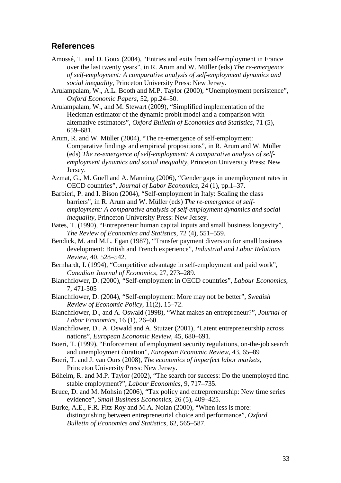## **References**

- Amossé, T. and D. Goux (2004), "Entries and exits from self-employment in France over the last twenty years", in R. Arum and W. Müller (eds) *The re-emergence of self-employment: A comparative analysis of self-employment dynamics and social inequality*, Princeton University Press: New Jersey.
- Arulampalam, W., A.L. Booth and M.P. Taylor (2000), "Unemployment persistence", *Oxford Economic Papers*, 52, pp.24–50.
- Arulampalam, W., and M. Stewart (2009), "Simplified implementation of the Heckman estimator of the dynamic probit model and a comparison with alternative estimators", *Oxford Bulletin of Economics and Statistics*, 71 (5), 659–681.
- Arum, R. and W. Müller (2004), "The re-emergence of self-employment: Comparative findings and empirical propositions", in R. Arum and W. Müller (eds) *The re-emergence of self-employment: A comparative analysis of selfemployment dynamics and social inequality*, Princeton University Press: New Jersey.
- Azmat, G., M. Güell and A. Manning (2006), "Gender gaps in unemployment rates in OECD countries", *Journal of Labor Economics*, 24 (1), pp.1–37.
- Barbieri, P. and I. Bison (2004), "Self-employment in Italy: Scaling the class barriers", in R. Arum and W. Müller (eds) *The re-emergence of selfemployment: A comparative analysis of self-employment dynamics and social inequality*, Princeton University Press: New Jersey.
- Bates, T. (1990), "Entrepreneur human capital inputs and small business longevity", *The Review of Economics and Statistics*, 72 (4), 551–559.
- Bendick, M. and M.L. Egan (1987), "Transfer payment diversion for small business development: British and French experience", *Industrial and Labor Relations Review*, 40, 528–542.
- Bernhardt, I. (1994), "Competitive advantage in self-employment and paid work", *Canadian Journal of Economics*, 27, 273–289.
- Blanchflower, D. (2000), "Self-employment in OECD countries", *Labour Economics*, 7, 471-505
- Blanchflower, D. (2004), "Self-employment: More may not be better", *Swedish Review of Economic Policy*, 11(2), 15–72.
- Blanchflower, D., and A. Oswald (1998), "What makes an entrepreneur?", *Journal of Labor Economics*, 16 (1), 26–60.
- Blanchflower, D., A. Oswald and A. Stutzer (2001), "Latent entrepreneurship across nations", *European Economic Review*, 45, 680–691.
- Boeri, T. (1999), "Enforcement of employment security regulations, on-the-job search and unemployment duration", *European Economic Review*, 43, 65–89
- Boeri, T. and J. van Ours (2008), *The economics of imperfect labor markets*, Princeton University Press: New Jersey.
- Böheim, R. and M.P. Taylor (2002), "The search for success: Do the unemployed find stable employment?", *Labour Economics*, 9, 717–735.
- Bruce, D. and M. Mohsin (2006), "Tax policy and entrepreneurship: New time series evidence", *Small Business Economics*, 26 (5), 409–425.
- Burke, A.E., F.R. Fitz-Roy and M.A. Nolan (2000), "When less is more: distinguishing between entrepreneurial choice and performance", *Oxford Bulletin of Economics and Statistics*, 62, 565–587.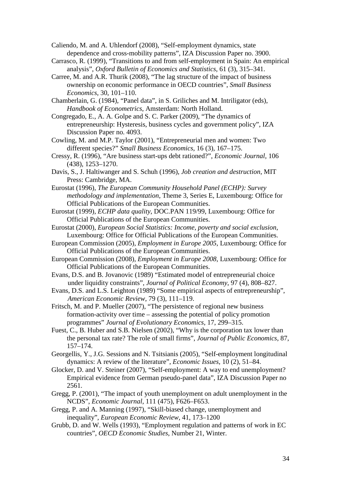Caliendo, M. and A. Uhlendorf (2008), "Self-employment dynamics, state dependence and cross-mobility patterns", IZA Discussion Paper no. 3900.

- Carrasco, R. (1999), "Transitions to and from self-employment in Spain: An empirical analysis", *Oxford Bulletin of Economics and Statistics*, 61 (3), 315–341.
- Carree, M. and A.R. Thurik (2008), "The lag structure of the impact of business ownership on economic performance in OECD countries", *Small Business Economics*, 30, 101–110.
- Chamberlain, G. (1984), "Panel data", in S. Griliches and M. Intriligator (eds), *Handbook of Econometrics*, Amsterdam: North Holland.
- Congregado, E., A. A. Golpe and S. C. Parker (2009), "The dynamics of entrepreneurship: Hysteresis, business cycles and government policy", IZA Discussion Paper no. 4093.
- Cowling, M. and M.P. Taylor (2001), "Entrepreneurial men and women: Two different species?" *Small Business Economics*, 16 (3), 167–175.
- Cressy, R. (1996), "Are business start-ups debt rationed?", *Economic Journal*, 106 (438), 1253–1270.
- Davis, S., J. Haltiwanger and S. Schuh (1996), *Job creation and destruction*, MIT Press: Cambridge, MA.
- Eurostat (1996), *The European Community Household Panel (ECHP): Survey methodology and implementation*, Theme 3, Series E, Luxembourg: Office for Official Publications of the European Communities.
- Eurostat (1999), *ECHP data quality*, DOC.PAN 119/99, Luxembourg: Office for Official Publications of the European Communities.
- Eurostat (2000), *European Social Statistics: Income, poverty and social exclusion*, Luxembourg: Office for Official Publications of the European Communities.
- European Commission (2005), *Employment in Europe 2005*, Luxembourg: Office for Official Publications of the European Communities.
- European Commission (2008), *Employment in Europe 2008*, Luxembourg: Office for Official Publications of the European Communities.
- Evans, D.S. and B. Jovanovic (1989) "Estimated model of entrepreneurial choice under liquidity constraints", *Journal of Political Economy*, 97 (4), 808–827.
- Evans, D.S. and L.S. Leighton (1989) "Some empirical aspects of entrepreneurship", *American Economic Review*, 79 (3), 111–119.
- Fritsch, M. and P. Mueller (2007), "The persistence of regional new business formation-activity over time – assessing the potential of policy promotion programmes" *Journal of Evolutionary Economics*, 17, 299–315.
- Fuest, C., B. Huber and S.B. Nielsen (2002), "Why is the corporation tax lower than the personal tax rate? The role of small firms", *Journal of Public Economics*, 87, 157–174.
- Georgellis, Y., J.G. Sessions and N. Tsitsianis (2005), "Self-employment longitudinal dynamics: A review of the literature", *Economic Issues*, 10 (2), 51–84.
- Glocker, D. and V. Steiner (2007), "Self-employment: A way to end unemployment? Empirical evidence from German pseudo-panel data", IZA Discussion Paper no 2561.
- Gregg, P. (2001), "The impact of youth unemployment on adult unemployment in the NCDS", *Economic Journal*, 111 (475), F626–F653.
- Gregg, P. and A. Manning (1997), "Skill-biased change, unemployment and inequality", *European Economic Review*, 41, 173–1200
- Grubb, D. and W. Wells (1993), "Employment regulation and patterns of work in EC countries", *OECD Economic Studies*, Number 21, Winter.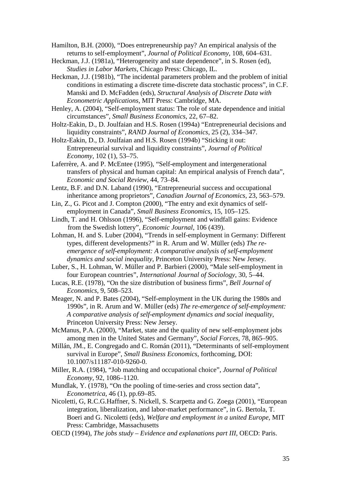Hamilton, B.H. (2000), "Does entrepreneurship pay? An empirical analysis of the returns to self-employment", *Journal of Political Economy*, 108, 604–631.

- Heckman, J.J. (1981a), "Heterogeneity and state dependence", in S. Rosen (ed), *Studies in Labor Markets*, Chicago Press: Chicago, IL.
- Heckman, J.J. (1981b), "The incidental parameters problem and the problem of initial conditions in estimating a discrete time-discrete data stochastic process", in C.F. Manski and D. McFadden (eds), *Structural Analysis of Discrete Data with Econometric Applications*, MIT Press: Cambridge, MA.
- Henley, A. (2004), "Self-employment status: The role of state dependence and initial circumstances", *Small Business Economics*, 22, 67–82.
- Holtz-Eakin, D., D. Joulfaian and H.S. Rosen (1994a) "Entrepreneurial decisions and liquidity constraints", *RAND Journal of Economics*, 25 (2), 334–347.
- Holtz-Eakin, D., D. Joulfaian and H.S. Rosen (1994b) "Sticking it out: Entrepreneurial survival and liquidity constraints", *Journal of Political Economy*, 102 (1), 53–75.
- Laferrère, A. and P. McEntee (1995), "Self-employment and intergenerational transfers of physical and human capital: An empirical analysis of French data", *Economic and Social Review*, 44, 73–84.
- Lentz, B.F. and D.N. Laband (1990), "Entrepreneurial success and occupational inheritance among proprietors", *Canadian Journal of Economics*, 23, 563–579.
- Lin, Z., G. Picot and J. Compton (2000), "The entry and exit dynamics of selfemployment in Canada", *Small Business Economics*, 15, 105–125.
- Lindh, T. and H. Ohlsson (1996), "Self-employment and windfall gains: Evidence from the Swedish lottery", *Economic Journal*, 106 (439).
- Lohman, H. and S. Luber (2004), "Trends in self-employment in Germany: Different types, different developments?" in R. Arum and W. Müller (eds) *The reemergence of self-employment: A comparative analysis of self-employment dynamics and social inequality*, Princeton University Press: New Jersey.
- Luber, S., H. Lohman, W. Müller and P. Barbieri (2000), "Male self-employment in four European countries", *International Journal of Sociology*, 30, 5–44.
- Lucas, R.E. (1978), "On the size distribution of business firms", *Bell Journal of Economics*, 9, 508–523.
- Meager, N. and P. Bates (2004), "Self-employment in the UK during the 1980s and 1990s", in R. Arum and W. Müller (eds) *The re-emergence of self-employment: A comparative analysis of self-employment dynamics and social inequality*, Princeton University Press: New Jersey.
- McManus, P.A. (2000), "Market, state and the quality of new self-employment jobs among men in the United States and Germany", *Social Forces*, 78, 865–905.
- Millán, JM., E. Congregado and C. Román (2011), "Determinants of self-employment survival in Europe", *Small Business Economics*, forthcoming, DOI: 10.1007/s11187-010-9260-0.
- Miller, R.A. (1984), "Job matching and occupational choice", *Journal of Political Economy*, 92, 1086–1120.
- Mundlak, Y. (1978), "On the pooling of time-series and cross section data", *Econometrica*, 46 (1), pp.69–85.
- Nicoletti, G, R.C.G.Haffner, S. Nickell, S. Scarpetta and G. Zoega (2001), "European integration, liberalization, and labor-market performance", in G. Bertola, T. Boeri and G. Nicoletti (eds), *Welfare and employment in a united Europe*, MIT Press: Cambridge, Massachusetts
- OECD (1994), *The jobs study – Evidence and explanations part III*, OECD: Paris.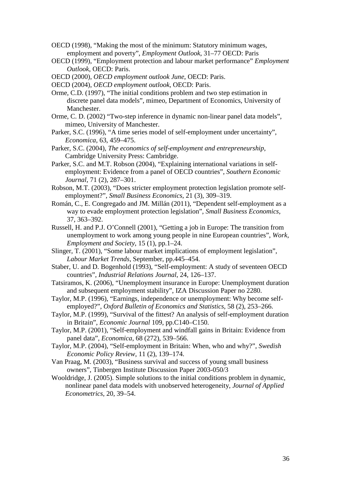- OECD (1998), "Making the most of the minimum: Statutory minimum wages, employment and poverty", *Employment Outlook*, 31–77 OECD: Paris
- OECD (1999), "Employment protection and labour market performance" *Employment Outlook*, OECD: Paris.
- OECD (2000), *OECD employment outlook June*, OECD: Paris.
- OECD (2004), *OECD employment outlook*, OECD: Paris.
- Orme, C.D. (1997), "The initial conditions problem and two step estimation in discrete panel data models", mimeo, Department of Economics, University of Manchester.
- Orme, C. D. (2002) "Two-step inference in dynamic non-linear panel data models", mimeo, University of Manchester.
- Parker, S.C. (1996), "A time series model of self-employment under uncertainty", *Economica*, 63, 459–475.
- Parker, S.C. (2004), *The economics of self-employment and entrepreneurship*, Cambridge University Press: Cambridge.
- Parker, S.C. and M.T. Robson (2004), "Explaining international variations in selfemployment: Evidence from a panel of OECD countries", *Southern Economic Journal*, 71 (2), 287–301.
- Robson, M.T. (2003), "Does stricter employment protection legislation promote selfemployment?", *Small Business Economics*, 21 (3), 309–319.
- Román, C., E. Congregado and JM. Millán (2011), "Dependent self-employment as a way to evade employment protection legislation", *Small Business Economics*, 37, 363–392.
- Russell, H. and P.J. O'Connell (2001), "Getting a job in Europe: The transition from unemployment to work among young people in nine European countries", *Work, Employment and Society*, 15 (1), pp.1–24.
- Slinger, T. (2001), "Some labour market implications of employment legislation", *Labour Market Trends*, September, pp.445–454.
- Staber, U. and D. Bogenhold (1993), "Self-employment: A study of seventeen OECD countries", *Industrial Relations Journal*, 24, 126–137.
- Tatsiramos, K. (2006), "Unemployment insurance in Europe: Unemployment duration and subsequent employment stability", IZA Discussion Paper no 2280.
- Taylor, M.P. (1996), "Earnings, independence or unemployment: Why become selfemployed?", *Oxford Bulletin of Economics and Statistics*, 58 (2), 253–266.
- Taylor, M.P. (1999), "Survival of the fittest? An analysis of self-employment duration in Britain", *Economic Journal* 109, pp.C140–C150.
- Taylor, M.P. (2001), "Self-employment and windfall gains in Britain: Evidence from panel data", *Economica*, 68 (272), 539–566.
- Taylor, M.P. (2004), "Self-employment in Britain: When, who and why?", *Swedish Economic Policy Review*, 11 (2), 139–174.
- Van Praag, M. (2003), "Business survival and success of young small business owners", Tinbergen Institute Discussion Paper 2003-050/3
- Wooldridge, J. (2005). Simple solutions to the initial conditions problem in dynamic, nonlinear panel data models with unobserved heterogeneity, *Journal of Applied Econometrics*, 20, 39–54.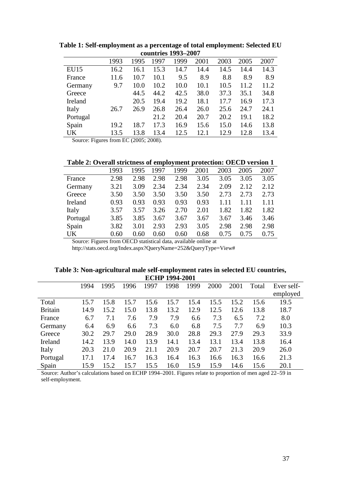| CUULLU ICS 1775–4007 |      |      |      |      |      |      |      |      |  |  |  |  |
|----------------------|------|------|------|------|------|------|------|------|--|--|--|--|
|                      | 1993 | 1995 | 1997 | 1999 | 2001 | 2003 | 2005 | 2007 |  |  |  |  |
| <b>EU15</b>          | 16.2 | 16.1 | 15.3 | 14.7 | 14.4 | 14.5 | 14.4 | 14.3 |  |  |  |  |
| France               | 11.6 | 10.7 | 10.1 | 9.5  | 8.9  | 8.8  | 8.9  | 8.9  |  |  |  |  |
| Germany              | 9.7  | 10.0 | 10.2 | 10.0 | 10.1 | 10.5 | 11.2 | 11.2 |  |  |  |  |
| Greece               |      | 44.5 | 44.2 | 42.5 | 38.0 | 37.3 | 35.1 | 34.8 |  |  |  |  |
| Ireland              |      | 20.5 | 19.4 | 19.2 | 18.1 | 17.7 | 16.9 | 17.3 |  |  |  |  |
| Italy                | 26.7 | 26.9 | 26.8 | 26.4 | 26.0 | 25.6 | 24.7 | 24.1 |  |  |  |  |
| Portugal             |      |      | 21.2 | 20.4 | 20.7 | 20.2 | 19.1 | 18.2 |  |  |  |  |
| Spain                | 19.2 | 18.7 | 17.3 | 16.9 | 15.6 | 15.0 | 14.6 | 13.8 |  |  |  |  |
| UK                   | 13.5 | 13.8 | 13.4 | 12.5 | 12.1 | 12.9 | 12.8 | 13.4 |  |  |  |  |

**Table 1: Self-employment as a percentage of total employment: Selected EU countries 1993–2007**

Source: Figures from EC (2005; 2008).

| <b>Lavic 2. Overall strictliess of employment protection. OECD version I</b> |      |      |      |      |      |      |      |      |
|------------------------------------------------------------------------------|------|------|------|------|------|------|------|------|
|                                                                              | 1993 | 1995 | 1997 | 1999 | 2001 | 2003 | 2005 | 2007 |
| France                                                                       | 2.98 | 2.98 | 2.98 | 2.98 | 3.05 | 3.05 | 3.05 | 3.05 |
| Germany                                                                      | 3.21 | 3.09 | 2.34 | 2.34 | 2.34 | 2.09 | 2.12 | 2.12 |
| Greece                                                                       | 3.50 | 3.50 | 3.50 | 3.50 | 3.50 | 2.73 | 2.73 | 2.73 |
| Ireland                                                                      | 0.93 | 0.93 | 0.93 | 0.93 | 0.93 | 1.11 | 1.11 | 1.11 |
| Italy                                                                        | 3.57 | 3.57 | 3.26 | 2.70 | 2.01 | 1.82 | 1.82 | 1.82 |
| Portugal                                                                     | 3.85 | 3.85 | 3.67 | 3.67 | 3.67 | 3.67 | 3.46 | 3.46 |
| Spain                                                                        | 3.82 | 3.01 | 2.93 | 2.93 | 3.05 | 2.98 | 2.98 | 2.98 |
| UK                                                                           | 0.60 | 0.60 | 0.60 | 0.60 | 0.68 | 0.75 | 0.75 | 0.75 |

Source: Figures from OECD statistical data, available online at

http://stats.oecd.org/Index.aspx?QueryName=252&QueryType=View#

| Table 3: Non-agricultural male self-employment rates in selected EU countries, |
|--------------------------------------------------------------------------------|
| <b>ECHP 1994-2001</b>                                                          |

| LULL 1777-2001 |      |      |      |      |      |      |      |      |       |            |  |
|----------------|------|------|------|------|------|------|------|------|-------|------------|--|
|                | 1994 | 1995 | 1996 | 1997 | 1998 | 1999 | 2000 | 2001 | Total | Ever self- |  |
|                |      |      |      |      |      |      |      |      |       | employed   |  |
| Total          | 15.7 | 15.8 | 15.7 | 15.6 | 15.7 | 15.4 | 15.5 | 15.2 | 15.6  | 19.5       |  |
| <b>Britain</b> | 14.9 | 15.2 | 15.0 | 13.8 | 13.2 | 12.9 | 12.5 | 12.6 | 13.8  | 18.7       |  |
| France         | 6.7  | 7.1  | 7.6  | 7.9  | 7.9  | 6.6  | 7.3  | 6.5  | 7.2   | 8.0        |  |
| Germany        | 6.4  | 6.9  | 6.6  | 7.3  | 6.0  | 6.8  | 7.5  | 7.7  | 6.9   | 10.3       |  |
| Greece         | 30.2 | 29.7 | 29.0 | 28.9 | 30.0 | 28.8 | 29.3 | 27.9 | 29.3  | 33.9       |  |
| Ireland        | 14.2 | 13.9 | 14.0 | 13.9 | 14.1 | 13.4 | 13.1 | 13.4 | 13.8  | 16.4       |  |
| Italy          | 20.3 | 21.0 | 20.9 | 21.1 | 20.9 | 20.7 | 20.7 | 21.3 | 20.9  | 26.0       |  |
| Portugal       | 17.1 | 17.4 | 16.7 | 16.3 | 16.4 | 16.3 | 16.6 | 16.3 | 16.6  | 21.3       |  |
| Spain          | 15.9 | 15.2 | 15.7 | 15.5 | 16.0 | 15.9 | 15.9 | 14.6 | 15.6  | 20.1       |  |
|                |      |      |      |      |      |      |      |      |       |            |  |

Source: Author's calculations based on ECHP 1994–2001. Figures relate to proportion of men aged 22–59 in self-employment.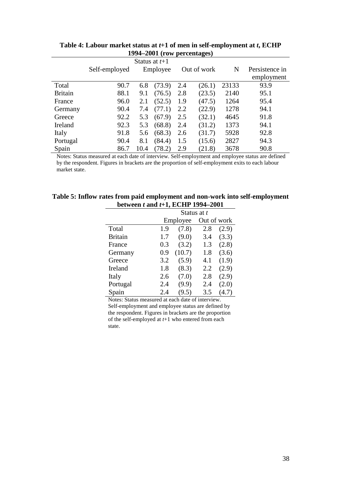|                |               |          | Status at $t+1$ |             |        |       |                |
|----------------|---------------|----------|-----------------|-------------|--------|-------|----------------|
|                | Self-employed | Employee |                 | Out of work |        | N     | Persistence in |
|                |               |          |                 |             |        |       | employment     |
| Total          | 90.7          | 6.8      | (73.9)          | 2.4         | (26.1) | 23133 | 93.9           |
| <b>Britain</b> | 88.1          | 9.1      | (76.5)          | 2.8         | (23.5) | 2140  | 95.1           |
| France         | 96.0          | 2.1      | (52.5)          | 1.9         | (47.5) | 1264  | 95.4           |
| Germany        | 90.4          | 7.4      | (77.1)          | 2.2         | (22.9) | 1278  | 94.1           |
| Greece         | 92.2          | 5.3      | (67.9)          | 2.5         | (32.1) | 4645  | 91.8           |
| Ireland        | 92.3          | 5.3      | (68.8)          | 2.4         | (31.2) | 1373  | 94.1           |
| Italy          | 91.8          | 5.6      | (68.3)          | 2.6         | (31.7) | 5928  | 92.8           |
| Portugal       | 90.4          | 8.1      | (84.4)          | 1.5         | (15.6) | 2827  | 94.3           |
| Spain          | 86.7          | 10.4     | (78.2)          | 2.9         | (21.8) | 3678  | 90.8           |

**Table 4: Labour market status at** *t***+1 of men in self-employment at** *t***, ECHP 1994–2001 (row percentages)**

Notes: Status measured at each date of interview. Self-employment and employee status are defined by the respondent. Figures in brackets are the proportion of self-employment exits to each labour market state.

#### **Table 5: Inflow rates from paid employment and non-work into self-employment between** *t* **and** *t***+1, ECHP 1994–2001**

|                | Status at t |          |             |       |  |  |  |  |  |  |
|----------------|-------------|----------|-------------|-------|--|--|--|--|--|--|
|                |             | Employee | Out of work |       |  |  |  |  |  |  |
| Total          | 1.9         | (7.8)    | 2.8         | (2.9) |  |  |  |  |  |  |
| <b>Britain</b> | 1.7         | (9.0)    | 3.4         | (3.3) |  |  |  |  |  |  |
| France         | 0.3         | (3.2)    | 1.3         | (2.8) |  |  |  |  |  |  |
| Germany        | 0.9         | (10.7)   | 1.8         | (3.6) |  |  |  |  |  |  |
| Greece         | 3.2         | (5.9)    | 4.1         | (1.9) |  |  |  |  |  |  |
| Ireland        | 1.8         | (8.3)    | 2.2         | (2.9) |  |  |  |  |  |  |
| Italy          | 2.6         | (7.0)    | 2.8         | (2.9) |  |  |  |  |  |  |
| Portugal       | 2.4         | (9.9)    | 2.4         | (2.0) |  |  |  |  |  |  |
| Spain          | 2.4         | (9.5)    | 3.5         | (4.7) |  |  |  |  |  |  |

Notes: Status measured at each date of interview. Self-employment and employee status are defined by the respondent. Figures in brackets are the proportion of the self-employed at *t*+1 who entered from each state.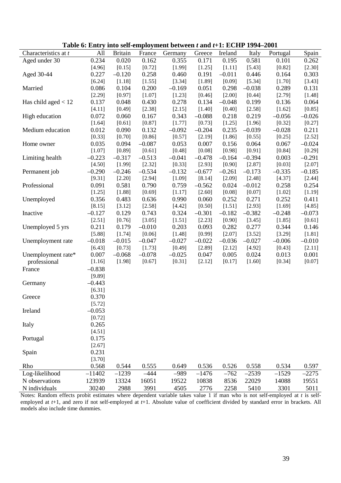| <b>Table 0: Entry mto sen-employment between <i>t</i> and <i>t</i>+1: ECHP 1994–2001</b> |          |                |          |          |          |          |          |          |          |
|------------------------------------------------------------------------------------------|----------|----------------|----------|----------|----------|----------|----------|----------|----------|
| Characteristics at t                                                                     | All      | <b>Britain</b> | France   | Germany  | Greece   | Ireland  | Italy    | Portugal | Spain    |
| Aged under 30                                                                            | 0.234    | 0.020          | 0.162    | 0.355    | 0.171    | 0.195    | 0.581    | 0.101    | 0.262    |
|                                                                                          | [4.96]   | [0.15]         | [0.72]   | [1.99]   | [1.25]   | [1.11]   | [5.43]   | [0.82]   | [2.30]   |
| Aged 30-44                                                                               | 0.227    | $-0.120$       | 0.258    | 0.460    | 0.191    | $-0.011$ | 0.446    | 0.164    | 0.303    |
|                                                                                          | [6.24]   | [1.18]         | [1.55]   | [3.34]   | [1.89]   | [0.09]   | [5.34]   | [1.70]   | [3.43]   |
| Married                                                                                  | 0.086    | 0.104          | 0.200    | $-0.169$ | 0.051    | 0.298    | $-0.038$ | 0.289    | 0.131    |
|                                                                                          | [2.29]   | [0.97]         | [1.07]   | [1.23]   | [0.46]   | [2.00]   | [0.44]   | [2.79]   | [1.48]   |
| Has child aged $< 12$                                                                    | 0.137    | 0.048          | 0.430    | 0.278    | 0.134    | $-0.048$ | 0.199    | 0.136    | 0.064    |
|                                                                                          | [4.11]   | [0.49]         | [2.38]   | [2.15]   | [1.40]   | [0.40]   | [2.58]   | $[1.62]$ | [0.85]   |
| High education                                                                           | 0.072    | 0.060          | 0.167    | 0.343    | $-0.088$ | 0.218    | 0.219    | $-0.056$ | $-0.026$ |
|                                                                                          | [1.64]   | [0.61]         | [0.87]   | [1.77]   | [0.73]   | [1.25]   | [1.96]   | [0.32]   | [0.27]   |
|                                                                                          |          |                | 0.132    |          |          | 0.235    | $-0.039$ |          | 0.211    |
| Medium education                                                                         | 0.012    | 0.090          |          | $-0.092$ | $-0.204$ |          |          | $-0.028$ |          |
|                                                                                          | [0.33]   | [0.70]         | [0.86]   | [0.57]   | [2.19]   | [1.86]   | [0.55]   | [0.25]   | [2.52]   |
| Home owner                                                                               | 0.035    | 0.094          | $-0.087$ | 0.053    | 0.007    | 0.156    | 0.064    | 0.067    | $-0.024$ |
|                                                                                          | [1.07]   | [0.89]         | [0.61]   | [0.48]   | [0.08]   | [0.98]   | [0.91]   | [0.84]   | [0.29]   |
| Limiting health                                                                          | $-0.223$ | $-0.317$       | $-0.513$ | $-0.041$ | $-0.478$ | $-0.164$ | $-0.394$ | 0.003    | $-0.291$ |
|                                                                                          | [4.50]   | [1.99]         | [2.32]   | [0.33]   | [2.93]   | [0.90]   | [2.87]   | [0.03]   | [2.07]   |
| Permanent job                                                                            | $-0.290$ | $-0.246$       | $-0.534$ | $-0.132$ | $-0.677$ | $-0.261$ | $-0.173$ | $-0.335$ | $-0.185$ |
|                                                                                          | [9.31]   | [2.20]         | [2.94]   | [1.09]   | [8.14]   | [2.09]   | [2.48]   | [4.37]   | [2.44]   |
| Professional                                                                             | 0.091    | 0.581          | 0.790    | 0.759    | $-0.562$ | 0.024    | $-0.012$ | 0.258    | 0.254    |
|                                                                                          | [1.25]   | [1.88]         | [0.69]   | [1.17]   | [2.60]   | [0.08]   | [0.07]   | [1.02]   | [1.19]   |
| Unemployed                                                                               | 0.356    | 0.483          | 0.636    | 0.990    | 0.060    | 0.252    | 0.271    | 0.252    | 0.411    |
|                                                                                          | [8.15]   | [3.12]         | [2.58]   | [4.42]   | [0.50]   | [1.51]   | [2.93]   | [1.69]   | [4.85]   |
| Inactive                                                                                 | $-0.127$ | 0.129          | 0.743    | 0.324    | $-0.301$ | $-0.182$ | $-0.382$ | $-0.248$ | $-0.073$ |
|                                                                                          | [2.51]   | [0.76]         | [3.05]   | [1.51]   | [2.23]   | [0.90]   | [3.45]   | [1.85]   | [0.61]   |
| Unemployed 5 yrs                                                                         | 0.211    | 0.179          | $-0.010$ | 0.203    | 0.093    | 0.282    | 0.277    | 0.344    | 0.146    |
|                                                                                          | [5.88]   | [1.74]         | [0.06]   | [1.48]   | [0.99]   | [2.07]   | [3.52]   | [3.29]   | [1.81]   |
| Unemployment rate                                                                        | $-0.018$ | $-0.015$       | $-0.047$ | $-0.027$ | $-0.022$ | $-0.036$ | $-0.027$ | $-0.006$ | $-0.010$ |
|                                                                                          | [6.43]   | [0.73]         | [1.73]   | [0.49]   | [2.89]   | [2.12]   | [4.92]   | [0.43]   | [2.11]   |
| Unemployment rate*                                                                       | 0.007    | $-0.068$       | $-0.078$ | $-0.025$ | 0.047    | 0.005    | 0.024    | 0.013    | 0.001    |
|                                                                                          |          |                |          |          |          |          |          |          |          |
| professional                                                                             | [1.16]   | [1.98]         | [0.67]   | [0.31]   | [2.12]   | [0.17]   | [1.60]   | [0.34]   | [0.07]   |
| France                                                                                   | $-0.838$ |                |          |          |          |          |          |          |          |
|                                                                                          | [9.89]   |                |          |          |          |          |          |          |          |
| Germany                                                                                  | $-0.443$ |                |          |          |          |          |          |          |          |
|                                                                                          | [6.31]   |                |          |          |          |          |          |          |          |
| Greece                                                                                   | 0.370    |                |          |          |          |          |          |          |          |
|                                                                                          | [5.72]   |                |          |          |          |          |          |          |          |
| Ireland                                                                                  | $-0.053$ |                |          |          |          |          |          |          |          |
|                                                                                          | [0.72]   |                |          |          |          |          |          |          |          |
| Italy                                                                                    | 0.265    |                |          |          |          |          |          |          |          |
|                                                                                          | [4.51]   |                |          |          |          |          |          |          |          |
| Portugal                                                                                 | 0.175    |                |          |          |          |          |          |          |          |
|                                                                                          | [2.67]   |                |          |          |          |          |          |          |          |
| Spain                                                                                    | 0.231    |                |          |          |          |          |          |          |          |
|                                                                                          | [3.70]   |                |          |          |          |          |          |          |          |
| Rho                                                                                      | 0.568    | 0.544          | 0.555    | 0.649    | 0.536    | 0.526    | 0.558    | 0.534    | 0.597    |
| Log-likelihood                                                                           | $-11402$ |                | $-444$   |          |          |          |          |          |          |
|                                                                                          |          | $-1239$        |          | $-989$   | $-1476$  | $-762$   | $-2539$  | $-1529$  | $-2275$  |
| N observations                                                                           | 123939   | 13324          | 16051    | 19522    | 10838    | 8536     | 22029    | 14088    | 19551    |
| N individuals                                                                            | 30240    | 2988           | 3991     | 4505     | 2776     | 2258     | 5410     | 3301     | 5011     |

**Table 6: Entry into self-employment between** *t* **and** *t***+1: ECHP 1994–2001**

Notes: Random effects probit estimates where dependent variable takes value 1 if man who is not self-employed at *t* is selfemployed at *t*+1, and zero if not self-employed at *t*+1. Absolute value of coefficient divided by standard error in brackets. All models also include time dummies.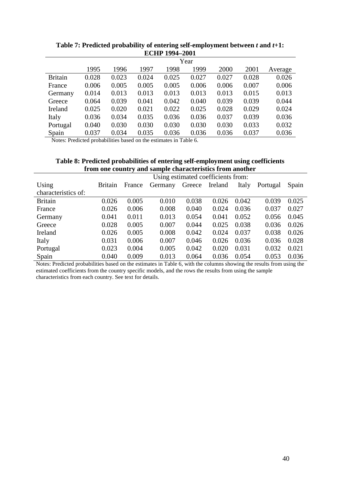|                |       | Year  |       |       |       |       |       |         |  |  |  |  |  |
|----------------|-------|-------|-------|-------|-------|-------|-------|---------|--|--|--|--|--|
|                | 1995  | 1996  | 1997  | 1998  | 1999  | 2000  | 2001  | Average |  |  |  |  |  |
| <b>Britain</b> | 0.028 | 0.023 | 0.024 | 0.025 | 0.027 | 0.027 | 0.028 | 0.026   |  |  |  |  |  |
| France         | 0.006 | 0.005 | 0.005 | 0.005 | 0.006 | 0.006 | 0.007 | 0.006   |  |  |  |  |  |
| Germany        | 0.014 | 0.013 | 0.013 | 0.013 | 0.013 | 0.013 | 0.015 | 0.013   |  |  |  |  |  |
| Greece         | 0.064 | 0.039 | 0.041 | 0.042 | 0.040 | 0.039 | 0.039 | 0.044   |  |  |  |  |  |
| Ireland        | 0.025 | 0.020 | 0.021 | 0.022 | 0.025 | 0.028 | 0.029 | 0.024   |  |  |  |  |  |
| Italy          | 0.036 | 0.034 | 0.035 | 0.036 | 0.036 | 0.037 | 0.039 | 0.036   |  |  |  |  |  |
| Portugal       | 0.040 | 0.030 | 0.030 | 0.030 | 0.030 | 0.030 | 0.033 | 0.032   |  |  |  |  |  |
| Spain          | 0.037 | 0.034 | 0.035 | 0.036 | 0.036 | 0.036 | 0.037 | 0.036   |  |  |  |  |  |

**Table 7: Predicted probability of entering self-employment between** *t* **and** *t***+1: ECHP 1994–2001**

Notes: Predicted probabilities based on the estimates in Table 6.

| Table 8: Predicted probabilities of entering self-employment using coefficients |  |  |
|---------------------------------------------------------------------------------|--|--|
| from one country and sample characteristics from another                        |  |  |

|                     | Using estimated coefficients from: |        |         |        |         |       |          |       |  |  |  |  |
|---------------------|------------------------------------|--------|---------|--------|---------|-------|----------|-------|--|--|--|--|
| Using               | <b>Britain</b>                     | France | Germany | Greece | Ireland | Italy | Portugal | Spain |  |  |  |  |
| characteristics of: |                                    |        |         |        |         |       |          |       |  |  |  |  |
| <b>Britain</b>      | 0.026                              | 0.005  | 0.010   | 0.038  | 0.026   | 0.042 | 0.039    | 0.025 |  |  |  |  |
| France              | 0.026                              | 0.006  | 0.008   | 0.040  | 0.024   | 0.036 | 0.037    | 0.027 |  |  |  |  |
| Germany             | 0.041                              | 0.011  | 0.013   | 0.054  | 0.041   | 0.052 | 0.056    | 0.045 |  |  |  |  |
| Greece              | 0.028                              | 0.005  | 0.007   | 0.044  | 0.025   | 0.038 | 0.036    | 0.026 |  |  |  |  |
| Ireland             | 0.026                              | 0.005  | 0.008   | 0.042  | 0.024   | 0.037 | 0.038    | 0.026 |  |  |  |  |
| Italy               | 0.031                              | 0.006  | 0.007   | 0.046  | 0.026   | 0.036 | 0.036    | 0.028 |  |  |  |  |
| Portugal            | 0.023                              | 0.004  | 0.005   | 0.042  | 0.020   | 0.031 | 0.032    | 0.021 |  |  |  |  |
| Spain               | 0.040                              | 0.009  | 0.013   | 0.064  | 0.036   | 0.054 | 0.053    | 0.036 |  |  |  |  |

Notes: Predicted probabilities based on the estimates in Table 6, with the columns showing the results from using the estimated coefficients from the country specific models, and the rows the results from using the sample characteristics from each country. See text for details.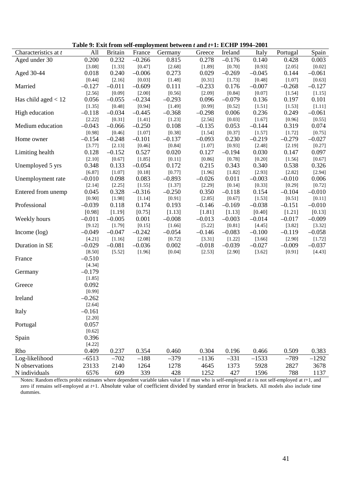| Table 9: Exit from self-employment between $t$ and $t+1$ : ECHP 1994–2001 |          |                |          |          |          |          |          |          |          |
|---------------------------------------------------------------------------|----------|----------------|----------|----------|----------|----------|----------|----------|----------|
| Characteristics at t                                                      | All      | <b>Britain</b> | France   | Germany  | Greece   | Ireland  | Italy    | Portugal | Spain    |
| Aged under 30                                                             | 0.200    | 0.232          | $-0.266$ | 0.815    | 0.278    | $-0.176$ | 0.140    | 0.428    | 0.003    |
|                                                                           | [3.08]   | [1.33]         | [0.47]   | [2.68]   | [1.89]   | [0.70]   | [0.93]   | [2.05]   | [0.02]   |
| Aged 30-44                                                                | 0.018    | 0.240          | $-0.006$ | 0.273    | 0.029    | $-0.269$ | $-0.045$ | 0.144    | $-0.061$ |
|                                                                           | [0.44]   | [2.16]         | [0.03]   | [1.48]   | [0.31]   | [1.73]   | [0.48]   | [1.07]   | [0.63]   |
| Married                                                                   | $-0.127$ | $-0.011$       | $-0.609$ | 0.111    | $-0.233$ | 0.176    | $-0.007$ | $-0.268$ | $-0.127$ |
|                                                                           | [2.56]   | [0.09]         | [2.00]   | [0.56]   | [2.09]   | [0.84]   | [0.07]   | [1.54]   | [1.15]   |
| Has child aged $< 12$                                                     | 0.056    | $-0.055$       | $-0.234$ | $-0.293$ | 0.096    | $-0.079$ | 0.136    | 0.197    | 0.101    |
|                                                                           | [1.35]   | [0.48]         | [0.94]   | [1.49]   | [0.99]   | [0.52]   | [1.51]   | [1.53]   | [1.11]   |
| High education                                                            | $-0.118$ | $-0.034$       | $-0.445$ | $-0.368$ | $-0.298$ | 0.006    | 0.236    | 0.249    | $-0.061$ |
|                                                                           | [2.22]   | [0.31]         | [1.41]   | [1.23]   | [2.56]   | [0.03]   | [1.67]   | [0.96]   | [0.55]   |
| Medium education                                                          | $-0.043$ | $-0.066$       | $-0.250$ | 0.108    | $-0.135$ | 0.053    | $-0.144$ | 0.319    | 0.074    |
|                                                                           | [0.98]   | [0.46]         | [1.07]   | [0.38]   | [1.54]   | [0.37]   | [1.57]   | [1.72]   | [0.75]   |
| Home owner                                                                | $-0.154$ | $-0.248$       | $-0.101$ | $-0.137$ | $-0.093$ | 0.230    | $-0.219$ | $-0.279$ | $-0.027$ |
|                                                                           | [3.77]   | [2.13]         | [0.46]   | [0.84]   | [1.07]   | [0.93]   | [2.48]   | [2.19]   | [0.27]   |
| Limiting health                                                           | 0.128    | $-0.152$       | 0.527    | 0.020    | 0.127    | $-0.194$ | 0.030    | 0.147    | 0.097    |
|                                                                           | [2.10]   | [0.67]         | [1.85]   | [0.11]   | [0.86]   | [0.78]   | [0.20]   | [1.56]   | [0.67]   |
| Unemployed 5 yrs                                                          | 0.348    | 0.133          | $-0.054$ | 0.172    | 0.215    | 0.343    | 0.340    | 0.538    | 0.326    |
|                                                                           | [6.87]   | [1.07]         | [0.18]   | [0.77]   | [1.96]   | [1.82]   | [2.93]   | [2.82]   | [2.94]   |
| Unemployment rate                                                         | $-0.010$ | 0.098          | 0.083    | $-0.893$ | $-0.026$ | 0.011    | $-0.003$ | $-0.010$ | 0.006    |
|                                                                           | [2.14]   | [2.25]         | [1.55]   | [1.37]   | [2.29]   | [0.14]   | [0.33]   | [0.29]   | [0.72]   |
| Entered from unemp                                                        | 0.045    | 0.328          | $-0.316$ | $-0.250$ | 0.350    | $-0.118$ | 0.154    | $-0.104$ | $-0.010$ |
|                                                                           | [0.90]   | [1.98]         | [1.14]   | [0.91]   | [2.85]   | [0.67]   | [1.53]   | [0.51]   | [0.11]   |
| Professional                                                              | $-0.039$ | 0.118          | 0.174    | 0.193    | $-0.146$ | $-0.169$ | $-0.038$ | $-0.151$ | $-0.010$ |
|                                                                           | [0.98]   | [1.19]         | [0.75]   | [1.13]   | [1.81]   | [1.13]   | [0.40]   | [1.21]   | [0.13]   |
| Weekly hours                                                              | $-0.011$ | $-0.005$       | 0.001    | $-0.008$ | $-0.013$ | $-0.003$ | $-0.014$ | $-0.017$ | $-0.009$ |
|                                                                           | [9.12]   | [1.79]         | [0.15]   | [1.66]   | [5.22]   | [0.81]   | [4.45]   | [3.82]   | [3.32]   |
| Income $(\log)$                                                           | $-0.049$ | $-0.047$       | $-0.242$ | $-0.054$ | $-0.146$ | $-0.083$ | $-0.100$ | $-0.119$ | $-0.058$ |
|                                                                           | [4.21]   | [1.16]         | [2.08]   | [0.72]   | [3.31]   | [1.22]   | [3.66]   | [2.90]   | [1.72]   |
| Duration in SE                                                            | $-0.029$ | $-0.081$       | $-0.036$ | 0.002    | $-0.018$ | $-0.039$ | $-0.027$ | $-0.009$ | $-0.037$ |
|                                                                           | [8.50]   | [5.52]         | [1.96]   | [0.04]   | [2.53]   | [2.90]   | [3.62]   | [0.91]   | [4.43]   |
| France                                                                    | $-0.510$ |                |          |          |          |          |          |          |          |
|                                                                           | [4.34]   |                |          |          |          |          |          |          |          |
| Germany                                                                   | $-0.179$ |                |          |          |          |          |          |          |          |
|                                                                           | [1.85]   |                |          |          |          |          |          |          |          |
| Greece                                                                    | 0.092    |                |          |          |          |          |          |          |          |
|                                                                           | [0.99]   |                |          |          |          |          |          |          |          |
| Ireland                                                                   | $-0.262$ |                |          |          |          |          |          |          |          |
|                                                                           | [2.64]   |                |          |          |          |          |          |          |          |
| Italy                                                                     | $-0.161$ |                |          |          |          |          |          |          |          |
|                                                                           | [2.20]   |                |          |          |          |          |          |          |          |
| Portugal                                                                  | 0.057    |                |          |          |          |          |          |          |          |
|                                                                           | [0.62]   |                |          |          |          |          |          |          |          |
| Spain                                                                     | 0.396    |                |          |          |          |          |          |          |          |
|                                                                           | [4.22]   |                |          |          |          |          |          |          |          |
| Rho                                                                       | 0.409    | 0.237          | 0.354    | 0.460    | 0.304    | 0.196    | 0.466    | 0.509    | 0.383    |
| Log-likelihood                                                            | $-6513$  | $-702$         | $-188$   | $-379$   | $-1136$  | $-331$   | $-1533$  | $-789$   | $-1292$  |
| N observations                                                            | 23133    | 2140           | 1264     | 1278     | 4645     | 1373     | 5928     | 2827     | 3678     |
| N individuals                                                             | 6576     | 609            | 339      | 428      | 1252     | 427      | 1596     | 788      | 1137     |

**Table 9: Exit from self-employment between** *t* **and** *t***+1: ECHP 1994–2001**

Notes: Random effects probit estimates where dependent variable takes value 1 if man who is self-employed at *t* is not self-employed at *t*+1, and zero if remains self-employed at *t*+1. Absolute value of coefficient divided by standard error in brackets. All models also include time dummies.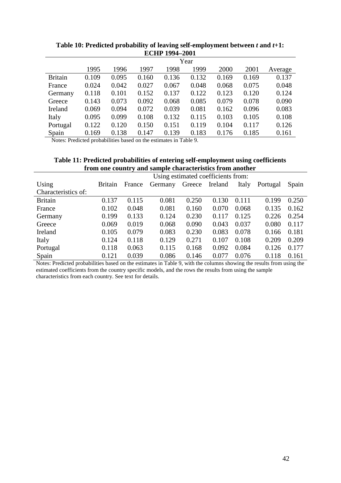|                | Year  |       |       |       |       |       |       |         |  |
|----------------|-------|-------|-------|-------|-------|-------|-------|---------|--|
|                | 1995  | 1996  | 1997  | 1998  | 1999  | 2000  | 2001  | Average |  |
| <b>Britain</b> | 0.109 | 0.095 | 0.160 | 0.136 | 0.132 | 0.169 | 0.169 | 0.137   |  |
| France         | 0.024 | 0.042 | 0.027 | 0.067 | 0.048 | 0.068 | 0.075 | 0.048   |  |
| Germany        | 0.118 | 0.101 | 0.152 | 0.137 | 0.122 | 0.123 | 0.120 | 0.124   |  |
| Greece         | 0.143 | 0.073 | 0.092 | 0.068 | 0.085 | 0.079 | 0.078 | 0.090   |  |
| Ireland        | 0.069 | 0.094 | 0.072 | 0.039 | 0.081 | 0.162 | 0.096 | 0.083   |  |
| Italy          | 0.095 | 0.099 | 0.108 | 0.132 | 0.115 | 0.103 | 0.105 | 0.108   |  |
| Portugal       | 0.122 | 0.120 | 0.150 | 0.151 | 0.119 | 0.104 | 0.117 | 0.126   |  |
| Spain          | 0.169 | 0.138 | 0.147 | 0.139 | 0.183 | 0.176 | 0.185 | 0.161   |  |

**Table 10: Predicted probability of leaving self-employment between** *t* **and** *t***+1: ECHP 1994–2001**

Notes: Predicted probabilities based on the estimates in Table 9.

| Table 11: Predicted probabilities of entering self-employment using coefficients |
|----------------------------------------------------------------------------------|
| from one country and sample characteristics from another                         |

|                     | Using estimated coefficients from: |        |         |        |         |       |          |       |  |  |
|---------------------|------------------------------------|--------|---------|--------|---------|-------|----------|-------|--|--|
| Using               | <b>Britain</b>                     | France | Germany | Greece | Ireland | Italy | Portugal | Spain |  |  |
| Characteristics of: |                                    |        |         |        |         |       |          |       |  |  |
| <b>Britain</b>      | 0.137                              | 0.115  | 0.081   | 0.250  | 0.130   | 0.111 | 0.199    | 0.250 |  |  |
| France              | 0.102                              | 0.048  | 0.081   | 0.160  | 0.070   | 0.068 | 0.135    | 0.162 |  |  |
| Germany             | 0.199                              | 0.133  | 0.124   | 0.230  | 0.117   | 0.125 | 0.226    | 0.254 |  |  |
| Greece              | 0.069                              | 0.019  | 0.068   | 0.090  | 0.043   | 0.037 | 0.080    | 0.117 |  |  |
| Ireland             | 0.105                              | 0.079  | 0.083   | 0.230  | 0.083   | 0.078 | 0.166    | 0.181 |  |  |
| Italy               | 0.124                              | 0.118  | 0.129   | 0.271  | 0.107   | 0.108 | 0.209    | 0.209 |  |  |
| Portugal            | 0.118                              | 0.063  | 0.115   | 0.168  | 0.092   | 0.084 | 0.126    | 0.177 |  |  |
| Spain               | 0.121                              | 0.039  | 0.086   | 0.146  | 0.077   | 0.076 | 0.118    | 0.161 |  |  |

Notes: Predicted probabilities based on the estimates in Table 9, with the columns showing the results from using the estimated coefficients from the country specific models, and the rows the results from using the sample characteristics from each country. See text for details.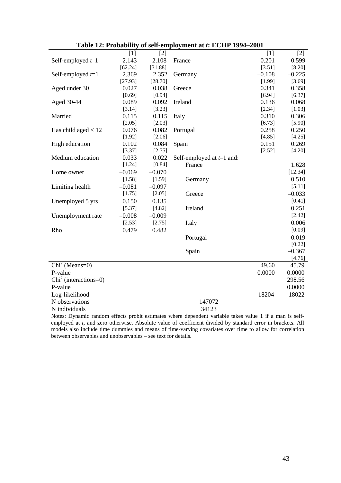|                                     | $[1]$    | $[2]$    |                             | $[1]$    | $[2]$    |
|-------------------------------------|----------|----------|-----------------------------|----------|----------|
| Self-employed $t-1$                 | 2.143    | 2.108    | France                      | $-0.201$ | $-0.599$ |
|                                     | [62.24]  | [31.88]  |                             | [3.51]   | [8.20]   |
| Self-employed $t=1$                 | 2.369    | 2.352    | Germany                     | $-0.108$ | $-0.225$ |
|                                     | [27.93]  | [28.70]  |                             | [1.99]   | [3.69]   |
| Aged under 30                       | 0.027    | 0.038    | Greece                      | 0.341    | 0.358    |
|                                     | [0.69]   | [0.94]   |                             | [6.94]   | [6.37]   |
| Aged 30-44                          | 0.089    | 0.092    | Ireland                     | 0.136    | 0.068    |
|                                     | [3.14]   | [3.23]   |                             | [2.34]   | [1.03]   |
| Married                             | 0.115    | 0.115    | Italy                       | 0.310    | 0.306    |
|                                     | [2.05]   | [2.03]   |                             | [6.73]   | [5.90]   |
| Has child aged $< 12$               | 0.076    | 0.082    | Portugal                    | 0.258    | 0.250    |
|                                     | [1.92]   | [2.06]   |                             | [4.85]   | [4.25]   |
| High education                      | 0.102    | 0.084    | Spain                       | 0.151    | 0.269    |
|                                     | [3.37]   | [2.75]   |                             | [2.52]   | [4.20]   |
| Medium education                    | 0.033    | 0.022    | Self-employed at $t-1$ and: |          |          |
|                                     | [1.24]   | [0.84]   | France                      |          | 1.628    |
| Home owner                          | $-0.069$ | $-0.070$ |                             |          | [12.34]  |
|                                     | [1.58]   | [1.59]   | Germany                     |          | 0.510    |
| Limiting health                     | $-0.081$ | $-0.097$ |                             |          | [5.11]   |
|                                     | [1.75]   | [2.05]   | Greece                      |          | $-0.033$ |
| Unemployed 5 yrs                    | 0.150    | 0.135    |                             |          | [0.41]   |
|                                     | [5.37]   | [4.82]   | Ireland                     |          | 0.251    |
| Unemployment rate                   | $-0.008$ | $-0.009$ |                             |          | [2.42]   |
|                                     | [2.53]   | [2.75]   | Italy                       |          | 0.006    |
| Rho                                 | 0.479    | 0.482    |                             |          | [0.09]   |
|                                     |          |          | Portugal                    |          | $-0.019$ |
|                                     |          |          |                             |          | [0.22]   |
|                                     |          |          | Spain                       |          | $-0.367$ |
|                                     |          |          |                             |          | [4.76]   |
| $\overline{\text{Chi}}^2$ (Means=0) |          |          |                             | 49.60    | 45.79    |
| P-value                             |          |          |                             | 0.0000   | 0.0000   |
| $Chi2$ (interactions=0)             |          |          |                             |          | 298.56   |
| P-value                             |          |          |                             |          | 0.0000   |
| Log-likelihood                      |          |          |                             | $-18204$ | $-18022$ |
| N observations                      |          |          | 147072                      |          |          |
| N individuals                       |          |          | 34123                       |          |          |

**Table 12: Probability of self-employment at** *t***: ECHP 1994–2001**

Notes: Dynamic random effects probit estimates where dependent variable takes value 1 if a man is selfemployed at *t*, and zero otherwise. Absolute value of coefficient divided by standard error in brackets. All models also include time dummies and means of time-varying covariates over time to allow for correlation between observables and unobservables – see text for details.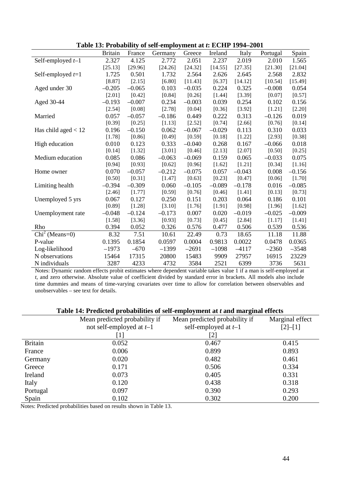|                                     | <b>Britain</b> | France   | Germany  | Greece   | Ireland  | Italy    | Portugal | Spain    |
|-------------------------------------|----------------|----------|----------|----------|----------|----------|----------|----------|
| Self-employed $t-1$                 | 2.327          | 4.125    | 2.772    | 2.051    | 2.237    | 2.019    | 2.010    | 1.565    |
|                                     | [25.13]        | [29.96]  | [24.26]  | [24.32]  | [14.55]  | [27.35]  | [21.30]  | [21.04]  |
| Self-employed $t=1$                 | 1.725          | 0.501    | 1.732    | 2.564    | 2.626    | 2.645    | 2.568    | 2.832    |
|                                     | [8.87]         | [2.15]   | [6.80]   | [11.43]  | [6.37]   | [14.12]  | [10.54]  | [15.49]  |
| Aged under 30                       | $-0.205$       | $-0.065$ | 0.103    | $-0.035$ | 0.224    | 0.325    | $-0.008$ | 0.054    |
|                                     | [2.01]         | [0.42]   | [0.84]   | [0.26]   | [1.44]   | [3.39]   | [0.07]   | [0.57]   |
| Aged 30-44                          | $-0.193$       | $-0.007$ | 0.234    | $-0.003$ | 0.039    | 0.254    | 0.102    | 0.156    |
|                                     | $[2.54]$       | [0.08]   | [2.78]   | [0.04]   | [0.36]   | [3.92]   | [1.21]   | [2.20]   |
| Married                             | 0.057          | $-0.057$ | $-0.186$ | 0.449    | 0.222    | 0.313    | $-0.126$ | 0.019    |
|                                     | [0.39]         | [0.25]   | [1.13]   | [2.52]   | [0.74]   | [2.66]   | [0.76]   | [0.14]   |
| Has child aged $< 12$               | 0.196          | $-0.150$ | 0.062    | $-0.067$ | $-0.029$ | 0.113    | 0.310    | 0.033    |
|                                     | [1.78]         | [0.86]   | [0.49]   | [0.59]   | [0.18]   | [1.22]   | [2.93]   | [0.38]   |
| High education                      | 0.010          | 0.123    | 0.333    | $-0.040$ | 0.268    | 0.167    | $-0.066$ | 0.018    |
|                                     | [0.14]         | [1.32]   | [3.01]   | [0.46]   | [2.13]   | [2.07]   | [0.50]   | [0.25]   |
| Medium education                    | 0.085          | 0.086    | $-0.063$ | $-0.069$ | 0.159    | 0.065    | $-0.033$ | 0.075    |
|                                     | [0.94]         | [0.93]   | [0.62]   | [0.96]   | [1.62]   | [1.21]   | [0.34]   | [1.16]   |
| Home owner                          | 0.070          | $-0.057$ | $-0.212$ | $-0.075$ | 0.057    | $-0.043$ | 0.008    | $-0.156$ |
|                                     | [0.50]         | [0.31]   | [1.47]   | [0.63]   | [0.23]   | [0.47]   | [0.06]   | [1.70]   |
| Limiting health                     | $-0.394$       | $-0.309$ | 0.060    | $-0.105$ | $-0.089$ | $-0.178$ | 0.016    | $-0.085$ |
|                                     | [2.46]         | [1.77]   | [0.59]   | [0.76]   | [0.46]   | [1.41]   | [0.13]   | [0.73]   |
| Unemployed 5 yrs                    | 0.067          | 0.127    | 0.250    | 0.151    | 0.203    | 0.064    | 0.186    | 0.101    |
|                                     | [0.89]         | [1.28]   | [3.10]   | [1.76]   | [1.91]   | [0.98]   | [1.96]   | [1.62]   |
| Unemployment rate                   | $-0.048$       | $-0.124$ | $-0.173$ | 0.007    | 0.020    | $-0.019$ | $-0.025$ | $-0.009$ |
|                                     | [1.58]         | [3.36]   | [0.93]   | [0.73]   | [0.45]   | [2.84]   | [1.17]   | $[1.41]$ |
| Rho                                 | 0.394          | 0.052    | 0.326    | 0.576    | 0.477    | 0.506    | 0.539    | 0.536    |
| $\overline{\text{Chi}}^2$ (Means=0) | 8.32           | 7.51     | 10.61    | 22.49    | 0.73     | 18.65    | 11.18    | 11.88    |
| P-value                             | 0.1395         | 0.1854   | 0.0597   | 0.0004   | 0.9813   | 0.0022   | 0.0478   | 0.0365   |
| Log-likelihood                      | $-1973$        | $-670$   | $-1399$  | $-2691$  | $-1098$  | $-4117$  | $-2360$  | $-3548$  |
| N observations                      | 15464          | 17315    | 20800    | 15483    | 9909     | 27957    | 16915    | 23229    |
| N individuals                       | 3287           | 4233     | 4732     | 3584     | 2521     | 6399     | 3736     | 5631     |

**Table 13: Probability of self-employment at** *t***: ECHP 1994–2001**

Notes: Dynamic random effects probit estimates where dependent variable takes value 1 if a man is self-employed at *t*, and zero otherwise. Absolute value of coefficient divided by standard error in brackets. All models also include time dummies and means of time-varying covariates over time to allow for correlation between observables and unobservables – see text for details.

#### **Table 14: Predicted probabilities of self-employment at** *t* **and marginal effects**

|                | Tuble I is I feureled probabilities of self-employment are and marginal encess |                               |                 |
|----------------|--------------------------------------------------------------------------------|-------------------------------|-----------------|
|                | Mean predicted probability if                                                  | Mean predicted probability if | Marginal effect |
|                | not self-employed at $t-1$                                                     | self-employed at $t-1$        | $[2]-[1]$       |
|                | $\perp$                                                                        | [2]                           |                 |
| <b>Britain</b> | 0.052                                                                          | 0.467                         | 0.415           |
| France         | 0.006                                                                          | 0.899                         | 0.893           |
| Germany        | 0.020                                                                          | 0.482                         | 0.461           |
| Greece         | 0.171                                                                          | 0.506                         | 0.334           |
| Ireland        | 0.073                                                                          | 0.405                         | 0.331           |
| Italy          | 0.120                                                                          | 0.438                         | 0.318           |
| Portugal       | 0.097                                                                          | 0.390                         | 0.293           |
| Spain          | 0.102                                                                          | 0.302                         | 0.200           |

Notes: Predicted probabilities based on results shown in Table 13.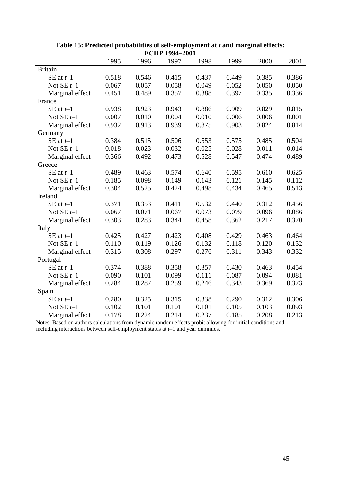|                 | 1995  | 1996  | 1997  | 1998  | 1999  | 2000  | 2001  |
|-----------------|-------|-------|-------|-------|-------|-------|-------|
| <b>Britain</b>  |       |       |       |       |       |       |       |
| SE at $t-1$     | 0.518 | 0.546 | 0.415 | 0.437 | 0.449 | 0.385 | 0.386 |
| Not $SE t-1$    | 0.067 | 0.057 | 0.058 | 0.049 | 0.052 | 0.050 | 0.050 |
| Marginal effect | 0.451 | 0.489 | 0.357 | 0.388 | 0.397 | 0.335 | 0.336 |
| France          |       |       |       |       |       |       |       |
| SE at $t-1$     | 0.938 | 0.923 | 0.943 | 0.886 | 0.909 | 0.829 | 0.815 |
| Not $SE t-1$    | 0.007 | 0.010 | 0.004 | 0.010 | 0.006 | 0.006 | 0.001 |
| Marginal effect | 0.932 | 0.913 | 0.939 | 0.875 | 0.903 | 0.824 | 0.814 |
| Germany         |       |       |       |       |       |       |       |
| SE at $t-1$     | 0.384 | 0.515 | 0.506 | 0.553 | 0.575 | 0.485 | 0.504 |
| Not $SE t-1$    | 0.018 | 0.023 | 0.032 | 0.025 | 0.028 | 0.011 | 0.014 |
| Marginal effect | 0.366 | 0.492 | 0.473 | 0.528 | 0.547 | 0.474 | 0.489 |
| Greece          |       |       |       |       |       |       |       |
| SE at $t-1$     | 0.489 | 0.463 | 0.574 | 0.640 | 0.595 | 0.610 | 0.625 |
| Not $SE t-1$    | 0.185 | 0.098 | 0.149 | 0.143 | 0.121 | 0.145 | 0.112 |
| Marginal effect | 0.304 | 0.525 | 0.424 | 0.498 | 0.434 | 0.465 | 0.513 |
| Ireland         |       |       |       |       |       |       |       |
| SE at $t-1$     | 0.371 | 0.353 | 0.411 | 0.532 | 0.440 | 0.312 | 0.456 |
| Not $SE t-1$    | 0.067 | 0.071 | 0.067 | 0.073 | 0.079 | 0.096 | 0.086 |
| Marginal effect | 0.303 | 0.283 | 0.344 | 0.458 | 0.362 | 0.217 | 0.370 |
| Italy           |       |       |       |       |       |       |       |
| SE at $t-1$     | 0.425 | 0.427 | 0.423 | 0.408 | 0.429 | 0.463 | 0.464 |
| Not $SE t-1$    | 0.110 | 0.119 | 0.126 | 0.132 | 0.118 | 0.120 | 0.132 |
| Marginal effect | 0.315 | 0.308 | 0.297 | 0.276 | 0.311 | 0.343 | 0.332 |
| Portugal        |       |       |       |       |       |       |       |
| SE at $t-1$     | 0.374 | 0.388 | 0.358 | 0.357 | 0.430 | 0.463 | 0.454 |
| Not $SE t-1$    | 0.090 | 0.101 | 0.099 | 0.111 | 0.087 | 0.094 | 0.081 |
| Marginal effect | 0.284 | 0.287 | 0.259 | 0.246 | 0.343 | 0.369 | 0.373 |
| Spain           |       |       |       |       |       |       |       |
| SE at $t-1$     | 0.280 | 0.325 | 0.315 | 0.338 | 0.290 | 0.312 | 0.306 |
| Not $SE t-1$    | 0.102 | 0.101 | 0.101 | 0.101 | 0.105 | 0.103 | 0.093 |
| Marginal effect | 0.178 | 0.224 | 0.214 | 0.237 | 0.185 | 0.208 | 0.213 |

**Table 15: Predicted probabilities of self-employment at** *t* **and marginal effects: ECHP 1994–2001**

Notes: Based on authors calculations from dynamic random effects probit allowing for initial conditions and including interactions between self-employment status at *t*–1 and year dummies.